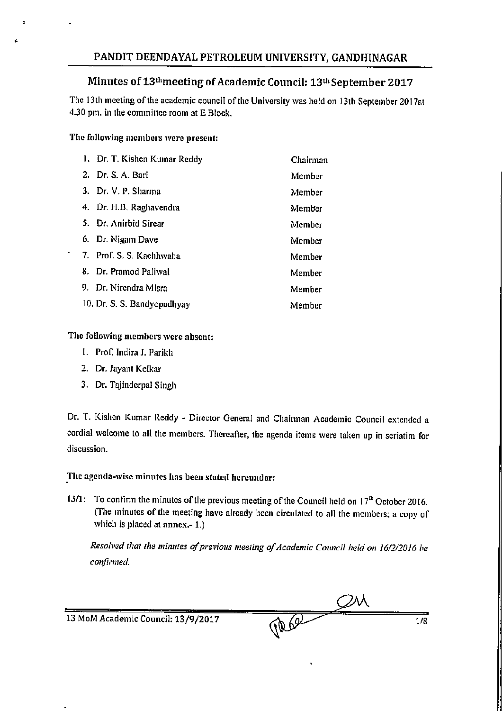### Minutes of 13<sup>th</sup>meeting of Academic Council: 13<sup>th</sup> September 2017

The 13th meeting of the academic council of the University was held on 13th September 2017at 4.30 pm. in the committee room at E Block.

### The following members were present:

| 1. Dr. T. Kishen Kumar Reddy | Chairman |
|------------------------------|----------|
| 2. Dr. S. A. Bari            | Member   |
| 3. Dr. V. P. Sharma          | Member   |
| 4. Dr. H.B. Raghavendra      | Member   |
| 5. Dr. Anirbid Sircar        | Member   |
| 6. Dr. Nigam Dave            | Member   |
| 7. Prof. S. S. Kachhwaha     | Member   |
| 8. Dr. Pramod Paliwal        | Member   |
| 9. Dr. Nirendra Misra        | Member   |
| 10. Dr. S. S. Bandyopadhyay  | Member   |

### The following members were absent:

- I. Prof. Indira J. Parikh
- 2. Dr. Jayant Kelkar
- 3. Dr. Tajinderpal Singh

Dr. T. Kishen Kumar Reddy - Director General and Chairman Academic Council extended a cordial welcome to all the members. Thereafter, the agenda items were taken up in seriatim for discussion.

### The agenda-wise minutes has been stated hereunder:

13/1: To confirm the minutes of the previous meeting of the Council held on 17<sup>th</sup> October 2016. (The minutes of the meeting have already been circulated to all the members; a copy of which is placed at annex.- 1.)

Resolved that the minutes of previous meeting of Academic Council held on 16/2/2016 be confirmed.

| 13 MoM Academic Council: 13/9/2017 | 1/8 |
|------------------------------------|-----|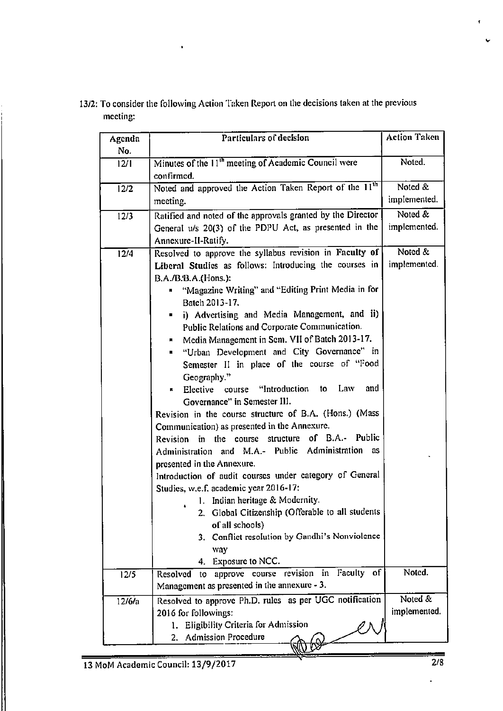| 13/2: To consider the following Action Taken Report on the decisions taken at the previous |  |
|--------------------------------------------------------------------------------------------|--|
| meeting:                                                                                   |  |

| Agenda            | Particulars of decision                                            | <b>Action Taken</b> |
|-------------------|--------------------------------------------------------------------|---------------------|
| No.               |                                                                    |                     |
| 12/1              | Minutes of the 11 <sup>th</sup> meeting of Academic Council were   | Noted.              |
|                   | confirmed.                                                         |                     |
| 12/2              | Noted and approved the Action Taken Report of the 11 <sup>th</sup> | Noted &             |
|                   | meeting.                                                           | implemented.        |
| 12/3              | Ratified and noted of the approvals granted by the Director        | Noted &             |
|                   | General u/s 20(3) of the PDPU Act, as presented in the             | implemented.        |
|                   | Annexure-II-Ratify.                                                |                     |
| $\overline{12/4}$ | Resolved to approve the syllabus revision in Faculty of            | Noted &             |
|                   | Liberal Studies as follows: Introducing the courses in             | implemented.        |
|                   | B.A./B.B.A.(Hons.):                                                |                     |
|                   | "Magazine Writing" and "Editing Print Media in for                 |                     |
|                   | Batch 2013-17.                                                     |                     |
|                   | i) Advertising and Media Management, and ii)                       |                     |
|                   | Public Relations and Corporate Communication.                      |                     |
|                   | Media Management in Sem. VII of Batch 2013-17.                     |                     |
|                   | "Urban Development and City Governance" in<br>$\mathbf{r}$         |                     |
|                   | Semester II in place of the course of "Food                        |                     |
|                   | Geography."                                                        |                     |
|                   | Elective course "Introduction to Law<br>and                        |                     |
|                   | Governance" in Semester III.                                       |                     |
|                   | Revision in the course structure of B.A. (Hons.) (Mass             |                     |
|                   | Communication) as presented in the Annexure.                       |                     |
|                   | in the course structure of B.A.- Public<br>Revision                |                     |
|                   | Administration and M.A.- Public Administration as                  |                     |
|                   | presented in the Annexure.                                         |                     |
|                   | Introduction of audit courses under category of General            |                     |
|                   | Studies, w.e.f. academic year 2016-17:                             |                     |
|                   | 1. Indian heritage & Modernity.                                    |                     |
|                   | 2. Global Citizenship (Offerable to all students                   |                     |
|                   | of all schools)<br>3. Conflict resolution by Gandhi's Nonviolence  |                     |
|                   | way                                                                |                     |
|                   | 4. Exposure to NCC.                                                |                     |
| 12/5              | approve course revision in Faculty<br>of<br>Resolved<br>to         | Noted.              |
|                   | Management as presented in the annexure - 3.                       |                     |
| 12/6/a            | Resolved to approve Ph.D. rules as per UGC notification            | Noted &             |
|                   | 2016 for followings:                                               | implemented.        |
|                   | Eligibility Criteria for Admission<br>ı.                           |                     |
|                   | <b>Admission Procedure</b><br>2.                                   |                     |
|                   |                                                                    |                     |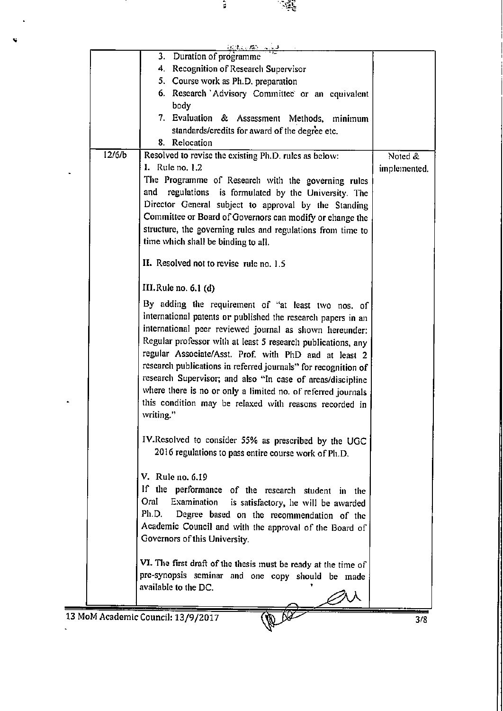|        | <b>おおい な</b> どによる                                                                       |              |
|--------|-----------------------------------------------------------------------------------------|--------------|
|        | 3. Duration of programme                                                                |              |
|        | 4. Recognition of Research Supervisor                                                   |              |
|        | 5. Course work as Ph.D. preparation                                                     |              |
|        | 6. Research 'Advisory Committee' or an equivalent                                       |              |
|        | body                                                                                    |              |
|        | 7. Evaluation & Assessment Methods, minimum                                             |              |
|        | standards/credits for award of the degree etc.                                          |              |
|        | 8. Relocation                                                                           |              |
| 12/6/b | Resolved to revise the existing Ph.D. rules as below:                                   | Noted &      |
|        | I. Rule no. 1.2                                                                         | implemented. |
|        | The Programme of Research with the governing rules                                      |              |
|        | regulations is formulated by the University. The<br>and                                 |              |
|        | Director General subject to approval by the Standing                                    |              |
|        | Committee or Board of Governors can modify or change the                                |              |
|        | structure, the governing rules and regulations from time to                             |              |
|        | time which shall be binding to all.                                                     |              |
|        |                                                                                         |              |
|        | II. Resolved not to revise rule no. 1.5                                                 |              |
|        | III.Rule no. $6.1$ (d)                                                                  |              |
|        | By adding the requirement of "at least two nos. of                                      |              |
|        |                                                                                         |              |
|        | international patents or published the research papers in an                            |              |
|        | international peer reviewed journal as shown hereunder:                                 |              |
|        | Regular professor with at least 5 research publications, any                            |              |
|        | regular Associate/Asst. Prof. with PhD and at least 2                                   |              |
|        | research publications in referred journals" for recognition of                          |              |
|        | research Supervisor; and also "In case of areas/discipline                              |              |
|        | where there is no or only a limited no. of referred journals                            |              |
|        | this condition may be relaxed with reasons recorded in                                  |              |
|        | writing."                                                                               |              |
|        | IV.Resolved to consider 55% as prescribed by the UGC                                    |              |
|        | 2016 regulations to pass entire course work of Ph.D.                                    |              |
|        |                                                                                         |              |
|        | V. Rule no. 6.19                                                                        |              |
|        | If the performance of the research student in the                                       |              |
|        | Oral<br>Examination                                                                     |              |
|        | is satisfactory, he will be awarded<br>Ph.D. Degree based on the recommendation of the  |              |
|        |                                                                                         |              |
|        | Academic Council and with the approval of the Board of<br>Governors of this University. |              |
|        |                                                                                         |              |
|        | VI. The first draft of the thesis must be ready at the time of                          |              |
|        | pre-synopsis seminar and one copy should be made                                        |              |
|        | available to the DC.                                                                    |              |
|        |                                                                                         |              |
|        |                                                                                         |              |
|        | 13 MoM Academic Council: 13/9/2017                                                      | 3/8          |
|        |                                                                                         |              |

ã,

ċ

्दर्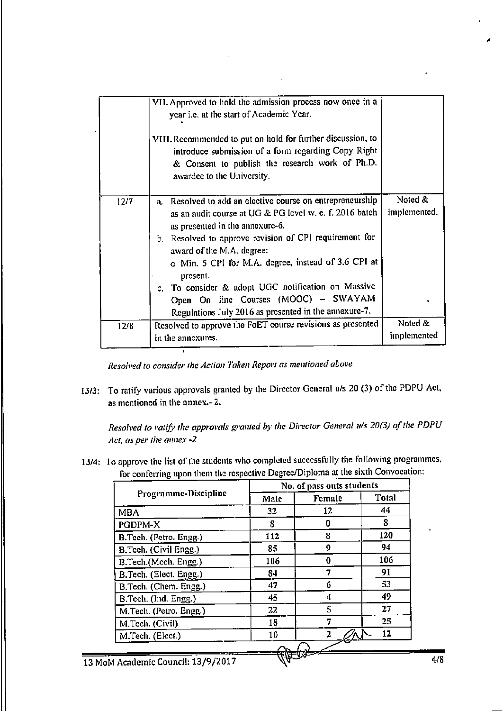|      | VII. Approved to hold the admission process now once in a<br>year i.e. at the start of Academic Year.<br>VIII. Recommended to put on hold for further discussion, to<br>introduce submission of a form regarding Copy Right<br>& Consent to publish the research work of Ph.D.<br>awardee to the University.                                                                                                                                                             |                         |  |  |  |  |
|------|--------------------------------------------------------------------------------------------------------------------------------------------------------------------------------------------------------------------------------------------------------------------------------------------------------------------------------------------------------------------------------------------------------------------------------------------------------------------------|-------------------------|--|--|--|--|
| 12/7 | a. Resolved to add an elective course on entrepreneurship<br>as an audit course at UG & PG level w. e. f. 2016 batch<br>as presented in the annexure-6.<br>b. Resolved to approve revision of CPI requirement for<br>award of the M.A. degree:<br>o Min. 5 CPI for M.A. degree, instead of 3.6 CPI at<br>present.<br>c. To consider & adopt UGC notification on Massive<br>Open On line Courses (MOOC) - SWAYAM<br>Regulations July 2016 as presented in the annexure-7. | Noted &<br>implemented. |  |  |  |  |
| 12/8 | Resolved to approve the FoET course revisions as presented<br>in the annexures.                                                                                                                                                                                                                                                                                                                                                                                          | Noted &<br>implemented  |  |  |  |  |

Resolved to consider the Action Taken Report as mentioned above.

13/3: To ratify various approvals granted by the Director General u/s 20 (3) of the PDPU Act, as mentioned in the annex.- 2.

Resolved to ratify the approvals granted by the Director General u/s 20(3) of the PDPU Act, as per the annex.-2.

13/4: To approve the list of the students who completed successfully the following programmes, for conferring upon them the respective Degree/Diploma at the sixth Convocation:

|                        | No. of pass outs students |        |       |  |
|------------------------|---------------------------|--------|-------|--|
| Programme-Discipline   | Male                      | Female | Total |  |
| MBA                    | 32                        | 12     | 44    |  |
| PGDPM-X                | 8                         | O      | 8     |  |
| B.Tech. (Petro. Engg.) | 112                       | 8      | 120   |  |
| B.Tech. (Civil Engg.)  | 85                        | 0      | 94    |  |
| B.Tech.(Mech. Engg.)   | 106                       | 0      | 106   |  |
| B.Tech. (Elect. Engg.) | 84                        |        | 91    |  |
| B.Tech. (Chem. Engg.)  | 47                        | 6      | 53    |  |
| B.Tech. (Ind. Engg.)   | 45                        | 4      | 49    |  |
| M.Tech. (Petro. Engg.) | 22                        | 5      | 27    |  |
| M.Tech. (Civil)        | 18                        | 7      | 25    |  |
| M.Tech. (Elect.)       | 10                        | 2      | 12    |  |

13 MoM Academic Council: 13/9/2017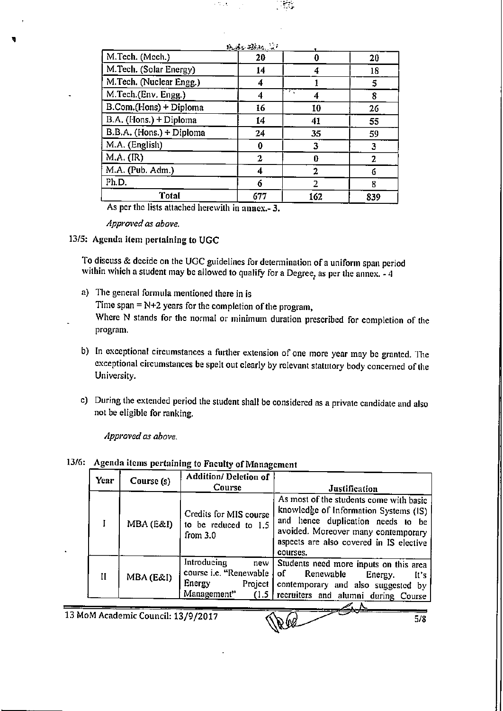|                          | shuiko 22km, la f |          |     |
|--------------------------|-------------------|----------|-----|
| M.Tech. (Mech.)          | 20                | 0        | 20  |
| M.Tech. (Solar Energy)   | 14                |          | 18  |
| M.Tech. (Nuclear Engg.)  | 4                 |          | 5   |
| M.Tech.(Env. Engg.)      | 4                 | ТŢ.<br>4 | 8   |
| B.Com.(Hons) + Diploma   | 16                | 10       | 26  |
| B.A. (Hons.) + Diploma   | 14                | 41       | 55  |
| B.B.A. (Hons.) + Diploma | 24                | 35       | 59  |
| M.A. (English)           | 0                 | 3        | 3   |
| $M.A.$ ( $IR$ )          | 2                 | Û        | 2   |
| M.A. (Pub. Adm.)         | 4                 | 2        | 6   |
| Ph.D.                    | 6                 | 2        | 8   |
| Total                    | 677               | 162      | 839 |

ю,

As per the lists attached herewith in annex.-3.

Approved as above.

### 13/5: Agenda item pertaining to UGC

To discuss & decide on the UGC guidelines for determination of a uniform span period within which a student may be allowed to qualify for a Degree, as per the annex. - 4

- a) The general formula mentioned there in is Time span =  $N+2$  years for the completion of the program, Where N stands for the normal or minimum duration prescribed for completion of the program.
- b) In exceptional circumstances a further extension of one more year may be granted. The exceptional circumstances be spelt out clearly by relevant statutory body concerned of the University.
- c) During the extended period the student shall be considered as a private candidate and also not be eligible for ranking.

Approved as above.

|  |  |  |  |  |  |  | 13/6: Agenda items pertaining to Faculty of Management |  |
|--|--|--|--|--|--|--|--------------------------------------------------------|--|
|--|--|--|--|--|--|--|--------------------------------------------------------|--|

| Year                           | Course (s) | <b>Addition/ Deletion of</b><br>Course                                                      | Justification                                                                                                                                                                                                       |  |  |
|--------------------------------|------------|---------------------------------------------------------------------------------------------|---------------------------------------------------------------------------------------------------------------------------------------------------------------------------------------------------------------------|--|--|
|                                | MBA (E&I)  | Credits for MIS course<br>to be reduced to 1.5<br>from $3.0$                                | As most of the students come with basic<br>knowledge of Information Systems (IS)<br>and hence duplication needs to be<br>avoided. Moreover many contemporary<br>aspects are also covered in IS elective<br>courses. |  |  |
| II                             | MBA (E&I)  | Introducing<br>new<br>course i.e. "Renewable<br>Energy<br>Project  <br>Management"<br>(1.5) | Students need more inputs on this area<br>of<br>Renewable<br>Energy.<br>It's<br>contemporary and also suggested by<br>recruiters and alumni during Course                                                           |  |  |
|                                |            |                                                                                             |                                                                                                                                                                                                                     |  |  |
| oM Academic Council: 13/0/2017 |            |                                                                                             |                                                                                                                                                                                                                     |  |  |

13 MoM Academic Council: 13/9/2017

Vea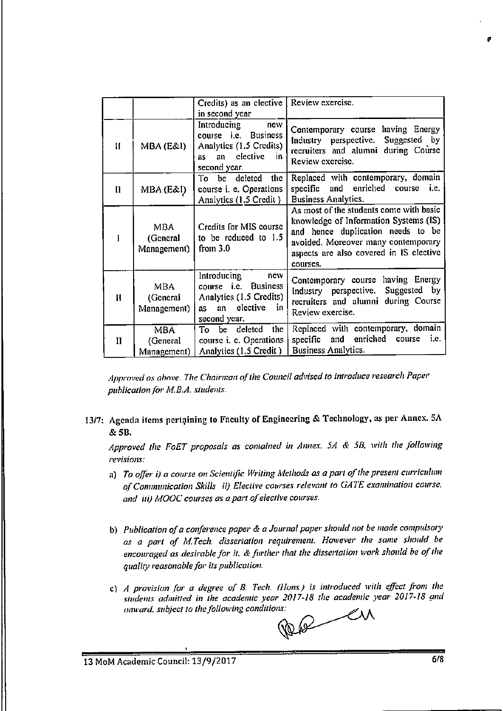|              |                                       | Credits) as an elective  <br>in second year                                                                                            | Review exercise.                                                                                                                                                                                                    |
|--------------|---------------------------------------|----------------------------------------------------------------------------------------------------------------------------------------|---------------------------------------------------------------------------------------------------------------------------------------------------------------------------------------------------------------------|
| $\mathbf{H}$ | MBA (E&I)                             | Introducing<br>new<br>course <i>i.e.</i> Business<br>Analytics (1.5 Credits)<br>clective<br>an<br>- in<br>as<br>second year.           | Contemporary course having Energy<br>Industry perspective. Suggested by<br>recruiters and alumni during Course<br>Review exercise.                                                                                  |
| $\mathbf{H}$ | MBA (E&I)                             | To be deleted<br>the<br>course i. e. Operations<br>Analytics (1.5 Credit)                                                              | Replaced with contemporary, domain<br>specific and enriched<br>i.e.<br>course<br>Business Analytics.                                                                                                                |
|              | MBA.<br>(General<br>Management)       | Credits for MIS course<br>to be reduced to 1.5<br>from $3.0$                                                                           | As most of the students come with basic<br>knowledge of Information Systems (IS)<br>and hence duplication needs to be<br>avoided. Moreover many contemporary<br>aspects are also covered in IS elective<br>courses. |
| Ħ            | <b>MBA</b><br>(General<br>Management) | Introducing<br>new<br><b>Business</b><br>course <i>i.e.</i><br>Analytics (1.5 Credits)<br>elective<br>in.<br>an<br>as.<br>second year. | Contemporary course having Energy<br>Industry perspective. Suggested by<br>recruiters and alumni during Course<br>Review exercise.                                                                                  |
| Н            | <b>MBA</b><br>(General<br>Management) | To be deleted the<br>course <i>i. e.</i> Operations<br>Analytics (1.5 Credit)                                                          | Replaced with contemporary, domain<br>and<br>enriched<br>specific<br>course <i>i.e.</i><br>Business Analytics.                                                                                                      |

Approved as above. The Chairman of the Council advised to introduce research Paper publication for M.B.A. students.

13/7: Agenda items pertaining to Faculty of Engineering & Technology, as per Annex. 5A & 5B.

Approved the FoET proposals as contained in Annex. 5A & 5B, with the following revisions:

- a) To offer i) a course on Scientific Writing Methods as a part of the present curriculum of Communication Skills ii) Elective courses relevant to GATE examination course, and (iii) MOOC courses as a part of elective courses.
- b) Publication of a conference paper & a Journal paper should not be made compulsory as a part of M.Tech. dissertation requirement. However the same should be encouraged as desirable for it. & further that the dissertation work should be of the quality reasonable for its publication.
- c) A provision for a degree of B. Tech. (Hons.) is introduced with effect from the students admitted in the academic year 2017-18 the academic year 2017-18 and onward, subject to the following conditions:

 $\mathcal{L}$ M 1000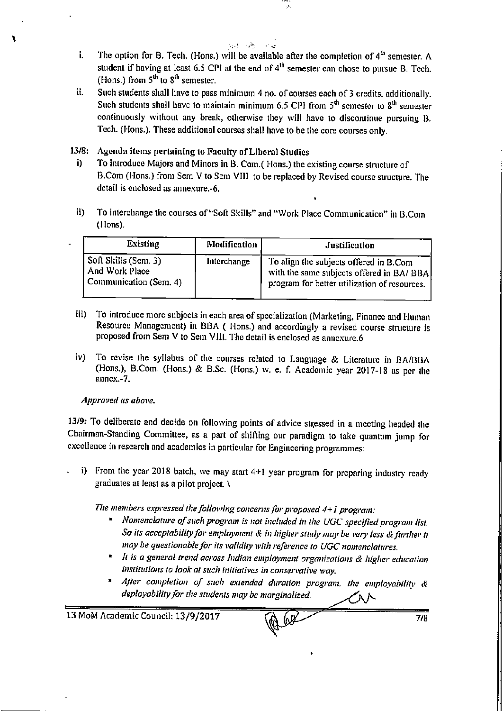- $\sim 10^{-11}$ The option for B. Tech. (Hons.) will be available after the completion of 4<sup>th</sup> semester. A i. student if having at least 6.5 CPI at the end of  $4<sup>th</sup>$  semester can chose to pursue B. Tech. (Hons.) from  $5^{th}$  to  $8^{th}$  semester.
- Such students shall have to pass minimum 4 no. of courses each of 3 credits, additionally. ii. Such students shall have to maintain minimum 6.5 CPI from  $5<sup>th</sup>$  semester to  $8<sup>th</sup>$  semester continuously without any break, otherwise they will have to discontinue pursuing B. Tech. (Hons.). These additional courses shall have to be the core courses only.
- $13/8:$ Agenda items pertaining to Faculty of Liberal Studies
	- i) To introduce Majors and Minors in B. Com.(Hons.) the existing course structure of B.Com (Hons.) from Sem V to Sem VIII to be replaced by Revised course structure. The detail is enclosed as annexure.-6.
	- ii) To interchange the courses of "Soft Skills" and "Work Place Communication" in B.Com (Hons).

| <b>Existing</b>                                                  | Modification | Justification                                                                                                                      |
|------------------------------------------------------------------|--------------|------------------------------------------------------------------------------------------------------------------------------------|
| Soft Skills (Sem. 3)<br>And Work Place<br>Communication (Sem. 4) | Interchange  | To align the subjects offered in B.Com<br>with the same subjects offered in BA/BBA<br>program for better utilization of resources. |

- iii) To introduce more subjects in each area of specialization (Marketing, Finance and Human Resource Management) in BBA (Hons.) and accordingly a revised course structure is proposed from Sem V to Sem VIII. The detail is enclosed as annexure.6
- To revise the syllabus of the courses related to Language & Literature in BA/BBA iv) (Hons.), B.Com. (Hons.) & B.Sc. (Hons.) w. e. f. Academic year 2017-18 as per the  $annex.-7.$

### Approved as above.

13/9: To deliberate and decide on following points of advice stressed in a meeting headed the Chairman-Standing Committee, as a part of shifting our paradigm to take quantum jump for excellence in research and academics in particular for Engineering programmes:

i) From the year 2018 batch, we may start  $4+1$  year program for preparing industry ready graduates at least as a pilot project. \

The members expressed the following concerns for proposed 4+1 program:

- Nomenclature of such program is not included in the UGC specified program list. So its acceptability for employment & in higher study may be very less & further it may be questionable for its validity with reference to UGC nomenclatures.
- \* It is a general trend across Indian employment organizations & higher education institutions to look at such initiatives in conservative way.
- \* After completion of such extended duration program, the employability & deployability for the students may be marginalized.

13 MoM Academic Council: 13/9/2017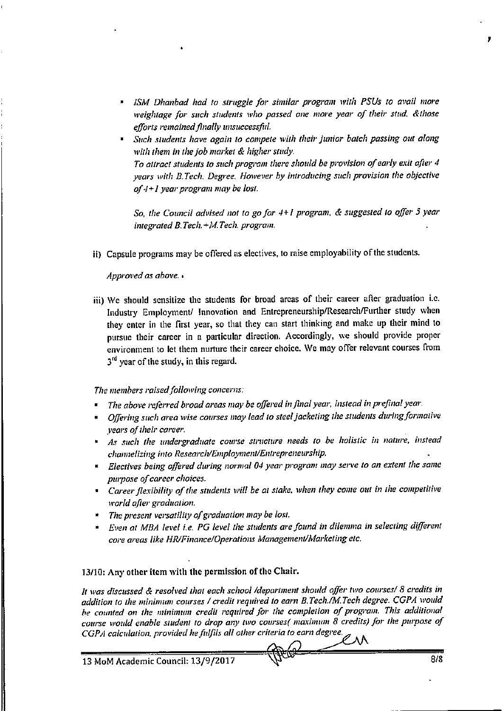- ISM Dhanbad had to struggle for similar program with PSUs to avail more weightage for such students who passed one more year of their stud, &those efforts remained finally unsuccessful.
- Such students have again to compete with their junior batch passing out along with them in the job market & higher study. To attract students to such program there should be provision of early exit after 4 years with B.Tech. Degree. However by introducing such provision the objective of  $4+1$  year program may be lost.

So, the Council advised not to go for 4+1 program, & suggested to offer 5 year integrated B.Tech.+M.Tech. program.

ii) Capsule programs may be offered as electives, to raise employability of the students.

Approved as above.

iii) We should sensitize the students for broad areas of their career after graduation i.e. Industry Employment/ Innovation and Entrepreneurship/Research/Further study when they enter in the first year, so that they can start thinking and make up their mind to pursue their career in a particular direction. Accordingly, we should provide proper environment to let them nurture their career choice. We may offer relevant courses from 3rd year of the study, in this regard.

The members raised following concerns:

- The above referred broad areas may be offered in final year, instead in prefinal year.
- Offering such area wise courses may lead to steel jacketing the students during formative vears of their career.
- As such the undergraduate course structure needs to be holistic in nature, instead channelizing into Research/Employment/Entrepreneurship.
- " Electives being offered during normal 04 year program may serve to an extent the same purpose of career choices.
- Career flexibility of the students will be at stake, when they come out in the competitive world after graduation.
- \* The present versatility of graduation may be lost.
- Even at MBA level i.e. PG level the students are found in dilemma in selecting different core areas like HR/Finance/Operations Management/Marketing etc.

13/10: Any other item with the permission of the Chair.

It was discussed & resolved that each school /department should offer two courses/ 8 credits in addition to the minimum courses / credit required to earn B.Tech./M.Tech degree. CGPA would be counted on the minimum credit required for the completion of program. This additional course would enable student to drop any two courses( maximum 8 credits) for the purpose of CGPA calculation, provided he fulfils all other criteria to earn degree.

13 MoM Academic Council: 13/9/2017

ZлN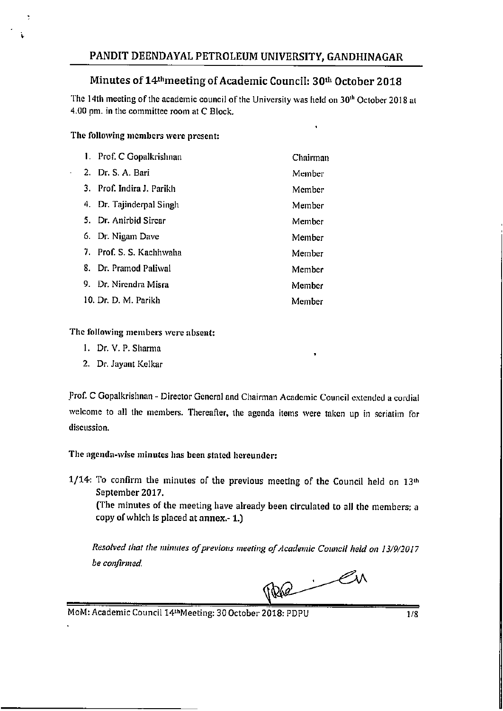### Minutes of 14<sup>th</sup> meeting of Academic Council: 30<sup>th</sup> October 2018

The 14th meeting of the academic council of the University was held on 30<sup>th</sup> October 2018 at 4.00 pm. in the committee room at C Block.

### The following members were present:

| 1. Prof. C Gopalkrishnan  | Chairman |
|---------------------------|----------|
| 2. Dr. S. A. Bari         | Member   |
| 3. Prof. Indira J. Parikh | Member   |
| 4. Dr. Tajinderpal Singh  | Member   |
| 5. Dr. Anirbid Sirear     | Member   |
| 6. Dr. Nigam Dave         | Member   |
| 7. Prof. S. S. Kachhwaha  | Member   |
| 8. Dr. Pramod Paliwal     | Member   |
| 9. Dr. Nirendra Misra     | Member   |
| 10. Dr. D. M. Parikh      | Member   |

### The following members were absent:

- 1. Dr. V. P. Sharma
- 2. Dr. Jayant Kelkar

Prof. C Gopalkrishnan - Director General and Chairman Academic Council extended a cordial welcome to all the members. Thereafter, the agenda items were taken up in seriatim for discussion.

The agenda-wise minutes has been stated hereunder:

1/14: To confirm the minutes of the previous meeting of the Council held on 13th September 2017.

(The minutes of the meeting have already been circulated to all the members; a copy of which is placed at annex.-1.)

Resolved that the minutes of previous meeting of Academic Council held on 13/9/2017 be confirmed.

Re Cu

MoM: Academic Council 14thMeeting: 30 October 2018: PDPU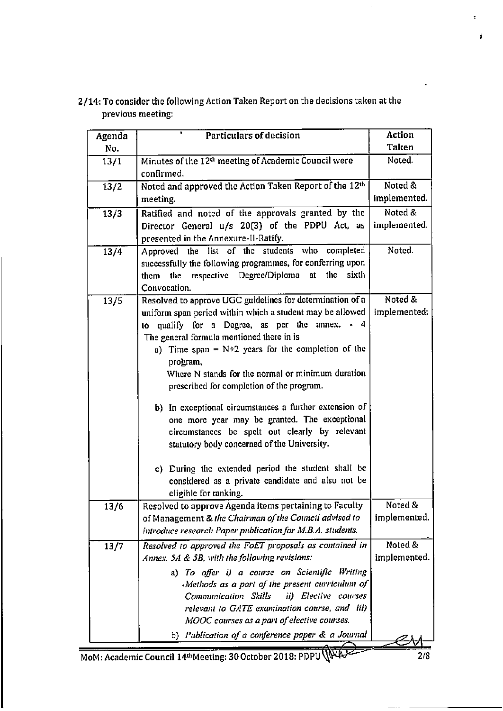| Agenda | Particulars of decision                                                                                                                                                                                                                               | Action                  |
|--------|-------------------------------------------------------------------------------------------------------------------------------------------------------------------------------------------------------------------------------------------------------|-------------------------|
| No.    |                                                                                                                                                                                                                                                       | Taken                   |
| 13/1   | Minutes of the 12 <sup>th</sup> meeting of Academic Council were<br>confirmed.                                                                                                                                                                        | Noted.                  |
| 13/2   | Noted and approved the Action Taken Report of the 12th                                                                                                                                                                                                | Noted &                 |
|        | meeting.                                                                                                                                                                                                                                              | implemented.            |
| 13/3   | Ratified and noted of the approvals granted by the                                                                                                                                                                                                    | Noted &                 |
|        | Director General u/s 20(3) of the PDPU Act, as<br>presented in the Annexure-II-Ratify.                                                                                                                                                                | implemented.            |
| 13/4   | Approved the list of the students who completed                                                                                                                                                                                                       | Noted.                  |
|        | successfully the following programmes, for conferring upon<br>them the respective Degree/Diploma at<br>the<br>sixth                                                                                                                                   |                         |
|        | Convocation.                                                                                                                                                                                                                                          |                         |
| 13/5   | Resolved to approve UGC guidelines for determination of a                                                                                                                                                                                             | Noted &                 |
|        | uniform span period within which a student may be allowed<br>to qualify for a Degree, as per the annex. - 4<br>The general formula mentioned there in is                                                                                              | implemented:            |
|        | a) Time span = $N+2$ years for the completion of the<br>program,<br>Where N stands for the normal or minimum duration                                                                                                                                 |                         |
|        | prescribed for completion of the program.<br>b) In exceptional circumstances a further extension of<br>one more year may be granted. The exceptional<br>circumstances be spelt out clearly by relevant<br>statutory body concerned of the University. |                         |
|        | c) During the extended period the student shall be<br>considered as a private candidate and also not be<br>eligible for ranking.                                                                                                                      |                         |
| 13/6   | Resolved to approve Agenda items pertaining to Faculty<br>of Management & the Chairman of the Council advised to<br>introduce research Paper publication for M.B.A. students.                                                                         | Noted &<br>implemented. |
| 13/7   | Resolved to approved the FoET proposals as contained in<br>Annex. 5A & 5B, with the following revisions:<br>a) To offer i) a course on Scientific Writing                                                                                             | Noted &<br>implemented. |
|        | Methods as a part of the present curriculum of<br>Communication Skills<br>ii) Elective courses<br>relevant to GATE examination course, and iii)<br>MOOC courses as a part of elective courses.                                                        |                         |
|        | b) Publication of a conference paper & a Journal                                                                                                                                                                                                      |                         |

2/14: To consider the following Action Taken Report on the decisions taken at the previous meeting:

MoM: Academic Council 14<sup>th</sup>Meeting: 30 October 2018: PDPU (NAJ

ł

ś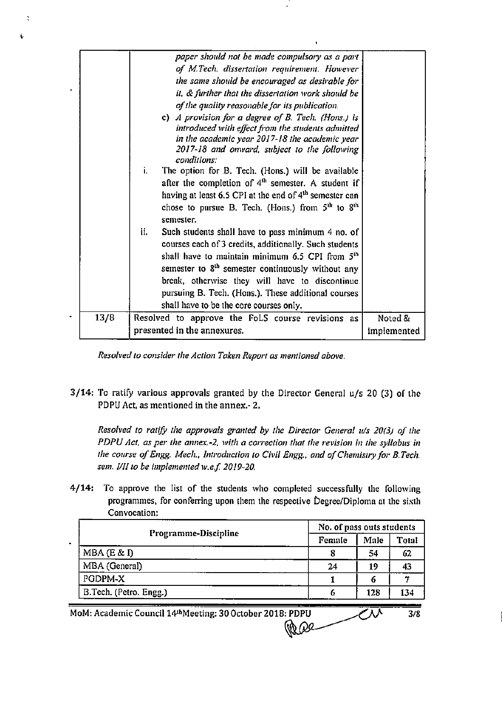|      | paper should not be made compulsory as a part                      |             |
|------|--------------------------------------------------------------------|-------------|
|      | of M.Tech. dissertation requirement. However                       |             |
|      | the same should be encouraged as desirable for                     |             |
|      | it, & further that the dissertation work should be                 |             |
|      | of the quality reasonable for its publication.                     |             |
|      | c) A provision for a degree of B. Tech. (Hons.) is                 |             |
|      | introduced with effect from the students admitted                  |             |
|      | in the academic year 2017-18 the academic year                     |             |
|      | 2017-18 and onward, subject to the following<br>conditions:        |             |
|      | i.<br>The option for B. Tech. (Hons.) will be available            |             |
|      | after the completion of $4th$ semester. A student if               |             |
|      | having at least 6.5 CPI at the end of 4 <sup>th</sup> semester can |             |
|      | chose to pursue B. Tech. (Hons.) from $5th$ to $8th$               |             |
|      | semester.                                                          |             |
|      | ii.<br>Such students shall have to pass minimum 4 no. of           |             |
|      | courses each of 3 credits, additionally. Such students             |             |
|      | shall have to maintain minimum 6.5 CPI from 5 <sup>th</sup>        |             |
|      | semester to 8 <sup>th</sup> semester continuously without any      |             |
|      | break, otherwise they will have to discontinue                     |             |
|      | pursuing B. Tech. (Hons.). These additional courses                |             |
|      | shall have to be the core courses only.                            |             |
| 13/8 | Resolved to approve the FoLS course revisions as                   | Noted &     |
|      | presented in the annexures.                                        | implemented |
|      |                                                                    |             |

š

Resolved to consider the Action Taken Report as mentioned above.

3/14: To ratify various approvals granted by the Director General u/s 20 (3) of the PDPU Act, as mentioned in the annex.- 2.

Resolved to ratify the approvals granted by the Director General u/s 20(3) of the PDPU Act, as per the annex.-2, with a correction that the revision in the syllabus in the course of Engg. Mech., Introduction to Civil Engg., and of Chemistry for B.Tech. sem. I/II to be implemented w.e.f. 2019-20.

4/14: To approve the list of the students who completed successfully the following programmes, for conferring upon them the respective Degree/Diploma at the sixth Convocation:

| Programme-Discipline   |        | No. of pass outs students |              |  |  |
|------------------------|--------|---------------------------|--------------|--|--|
|                        | Female |                           | <b>Total</b> |  |  |
| MBA (E & D)            |        | 54                        | 62           |  |  |
| MBA (General)          | 24     | 19                        | 43           |  |  |
| PGDPM-X                |        |                           |              |  |  |
| B.Tech. (Petro. Engg.) |        | 128                       | 134          |  |  |

 $\mathbb{Z}^{\overline{\mathcal{N}}}$ 

 $3/8$ 

MoM: Academic Council 14thMeeting: 30 October 2018: PDPU **Pape**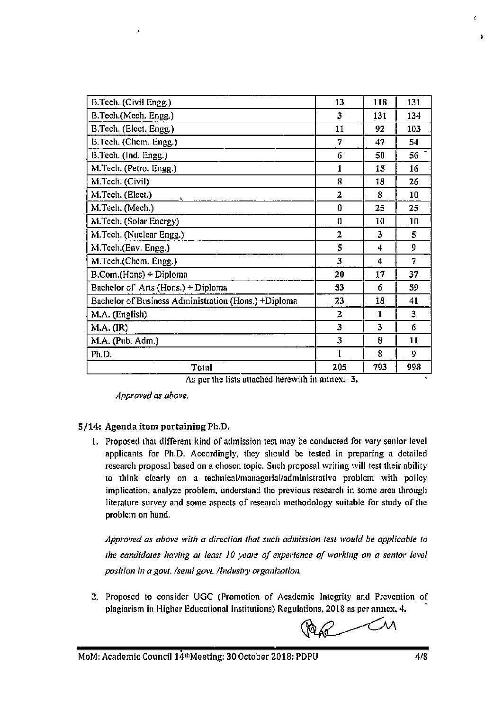| B.Tech. (Civil Engg.)                                | 13             | 118                     | 131 |
|------------------------------------------------------|----------------|-------------------------|-----|
| B.Tech.(Mech. Engg.)                                 | 3              | 131                     | 134 |
| B.Tech. (Elect. Engg.)                               | 11             | 92                      | 103 |
| B.Tech. (Chem. Engg.)                                | 7              | 47                      | 54  |
| B.Tech. (Ind. Engg.)                                 | 6              | 50                      | 56  |
| M.Tech. (Petro. Engg.)                               | 1              | 15                      | 16  |
| M.Tech. (Civil)                                      | 8              | 18                      | 26  |
| M.Tech. (Elect.)                                     | $\overline{2}$ | 8                       | 10  |
| M.Tech. (Mech.)                                      | $\bf{0}$       | 25                      | 25  |
| M.Tech. (Solar Energy)                               | $\bf{0}$       | 10                      | 10  |
| M.Tech. (Nuclear Engg.)                              | $\overline{2}$ | 3                       | 5.  |
| M.Tech.(Env. Engg.)                                  | 5              | 4                       | 9   |
| M.Tech.(Chem. Engg.)                                 | 3              | 4                       | 7   |
| B.Com.(Hons) + Diploma                               | 20             | 17                      | 37  |
| Bachelor of Arts (Hons.) + Diploma                   | 53             | 6                       | 59  |
| Bachelor of Business Administration (Hons.) +Diploma | 23             | 18                      | 41  |
| M.A. (English)                                       | $\overline{z}$ | 1                       | 3   |
| M.A. (IR)                                            | 3              | $\overline{\mathbf{3}}$ | 6   |
| M.A. (Pub. Adm.)                                     | 3              | 8                       | 11  |
| Ph.D.                                                |                | 8                       | 9   |
| Total                                                | 205            | 793                     | 998 |

|  |  |  | As per the lists attached herewith in annex.-3. |  |  |  |
|--|--|--|-------------------------------------------------|--|--|--|
|--|--|--|-------------------------------------------------|--|--|--|

Approved as above.

### 5/14: Agenda item pertaining Ph.D.

1. Proposed that different kind of admission test may be conducted for very senior level applicants for Ph.D. Accordingly, they should be tested in preparing a detailed research proposal based on a chosen topic. Such proposal writing will test their ability to think clearly on a technical/managerial/administrative problem with policy implication, analyze problem, understand the previous research in some area through literature survey and some aspects of research methodology suitable for study of the problem on hand.

Approved as above with a direction that such admission test would be applicable to the candidates having at least 10 years of experience of working on a senior level position in a govt. /semi govt. /Industry organization.

2. Proposed to consider UGC (Promotion of Academic Integrity and Prevention of plagiarism in Higher Educational Institutions) Regulations, 2018 as per annex. 4.

Men Cu

ŕ.

 $\overline{\mathbf{r}}$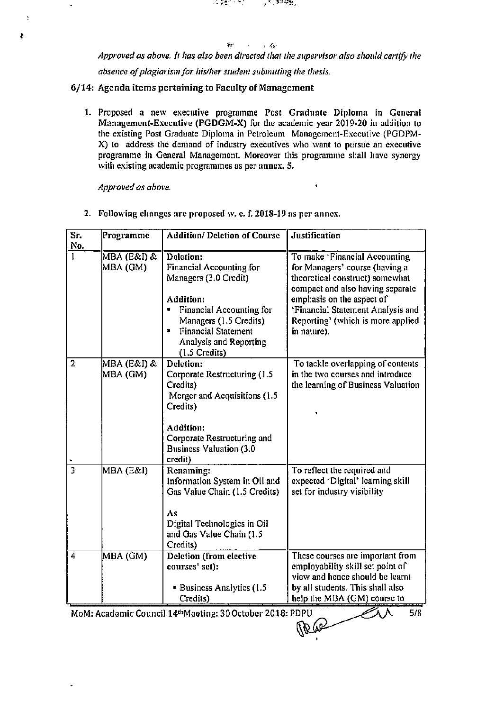$\sim 10^7$ ابيلا  $\ddot{\phantom{a}}$ Approved as above. It has also been directed that the supervisor also should certify the absence of plagiarism for his/her student submitting the thesis.

್ನು ನಿರಿಸಿದ್ದಾ

in 1980 (Controller)

6/14: Agenda items pertaining to Faculty of Management

1. Proposed a new executive programme Post Graduate Diploma in General Management-Executive (PGDGM-X) for the academic year 2019-20 in addition to the existing Post Graduate Diploma in Petroleum Management-Executive (PGDPM-X) to address the demand of industry executives who want to pursue an executive programme in General Management. Moreover this programme shall have synergy with existing academic programmes as per annex. 5.

 $\bullet$ 

Approved as above.

 $\overline{\mathbf{r}}$ 

Ł

2. Following changes are proposed w. e. f. 2018-19 as per annex.

| Sr.                     | Programme                      | <b>Addition/ Deletion of Course</b>                                                                                                                                                                                   | <b>Justification</b>                                                                                                                                                                                                                                         |
|-------------------------|--------------------------------|-----------------------------------------------------------------------------------------------------------------------------------------------------------------------------------------------------------------------|--------------------------------------------------------------------------------------------------------------------------------------------------------------------------------------------------------------------------------------------------------------|
| No.                     |                                |                                                                                                                                                                                                                       |                                                                                                                                                                                                                                                              |
| 1                       | <b>MBA</b> (E&I) &<br>MBA (GM) | Deletion:<br>Financial Accounting for<br>Managers (3.0 Credit)<br>Addition:<br>Financial Accounting for<br>u,<br>Managers (1.5 Credits)<br><b>Financial Statement</b><br>×<br>Analysis and Reporting<br>(1.5 Credits) | To make 'Financial Accounting<br>for Managers' course (having a<br>theoretical construct) somewhat<br>compact and also having separate<br>emphasis on the aspect of<br>'Financial Statement Analysis and<br>Reporting' (which is more applied<br>in nature). |
| $\overline{2}$          | MBA (E&I) &<br>MBA (GM)        | Deletion:<br>Corporate Restructuring (1.5<br>Credits)<br>Merger and Acquisitions (1.5)<br>Credits)<br>Addition:<br>Corporate Restructuring and<br><b>Business Valuation (3.0</b><br>credit)                           | To tackle overlapping of contents<br>in the two courses and introduce<br>the learning of Business Valuation                                                                                                                                                  |
| $\overline{\mathbf{3}}$ | MBA (E&I)                      | Renaming:<br>Information System in Oil and<br>Gas Value Chain (1.5 Credits)<br>As<br>Digital Technologies in Oil<br>and Gas Value Chain (1.5<br>Credits)                                                              | To reflect the required and<br>expected 'Digital' learning skill<br>set for industry visibility                                                                                                                                                              |
| $\overline{4}$          | MBA (GM)                       | Deletion (from elective<br>courses' set):<br><b>Business Analytics (1.5</b><br>Credits)                                                                                                                               | These courses are important from<br>employability skill set point of<br>view and hence should be learnt<br>by all students. This shall also<br>help the MBA (GM) course to                                                                                   |
|                         |                                | MoM: Academic Council 14th Meeting: 30 October 2018: PDPU                                                                                                                                                             | 5/8<br>(\\R6\$                                                                                                                                                                                                                                               |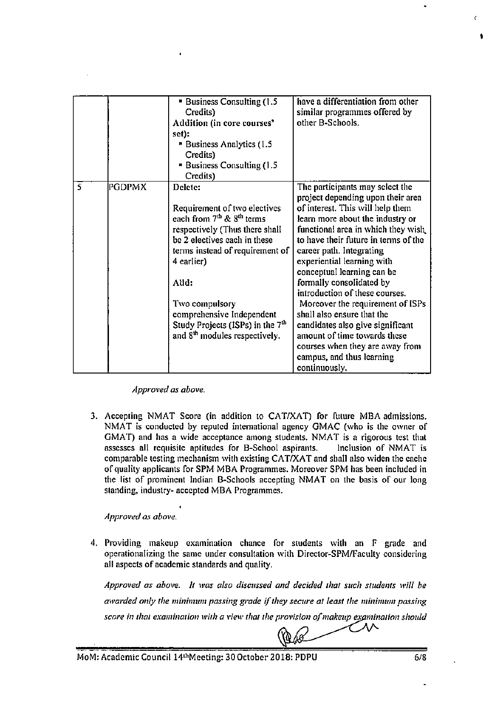|   |        | Business Consulting (1.5<br>Credits)<br>Addition (in core courses'<br>set):<br>Business Analytics (1.5<br>Credits)<br><b>Business Consulting (1.5</b> )<br>Credits)                                                                                                                                                                                                  | have a differentiation from other<br>similar programmes offered by<br>other B-Schools.                                                                                                                                                                                                                                                                                                                                                                                                                                                                                                                  |
|---|--------|----------------------------------------------------------------------------------------------------------------------------------------------------------------------------------------------------------------------------------------------------------------------------------------------------------------------------------------------------------------------|---------------------------------------------------------------------------------------------------------------------------------------------------------------------------------------------------------------------------------------------------------------------------------------------------------------------------------------------------------------------------------------------------------------------------------------------------------------------------------------------------------------------------------------------------------------------------------------------------------|
| 5 | PGDPMX | Delete:<br>Requirement of two electives<br>each from 7 <sup>th</sup> & 8 <sup>th</sup> terms<br>respectively (Thus there shall<br>be 2 electives each in these<br>terms instead of requirement of<br>4 earlier)<br>Alld:<br>Two compulsory<br>comprehensive Independent<br>Study Projects (ISPs) in the 7 <sup>th</sup><br>and 8 <sup>th</sup> modules respectively. | The participants may select the<br>project depending upon their area<br>of interest. This will help them<br>learn more about the industry or<br>functional area in which they wish<br>to have their future in terms of the<br>career path. Integrating<br>experiential learning with<br>conceptual learning can be<br>formally consolidated by<br>introduction of these courses.<br>Moreover the requirement of ISPs<br>shall also ensure that the<br>candidates also give significant<br>amount of time towards these<br>courses when they are away from<br>campus, and thus learning<br>continuously. |

Approved as above.

3. Accepting NMAT Score (in addition to CAT/XAT) for future MBA admissions. NMAT is conducted by reputed international agency GMAC (who is the owner of GMAT) and has a wide acceptance among students. NMAT is a rigorous test that assesses all requisite aptitudes for B-School aspirants. Inclusion of NMAT is comparable testing mechanism with existing CAT/XAT and shall also widen the cache of quality applicants for SPM MBA Programmes. Moreover SPM has been included in the list of prominent Indian B-Schools accepting NMAT on the basis of our long standing, industry- accepted MBA Programmes.

Approved as above.

4. Providing makeup examination chance for students with an F grade and operationalizing the same under consultation with Director-SPM/Faculty considering all aspects of academic standards and quality.

Approved as above. It was also discussed and decided that such students will be awarded only the minimum passing grade if they secure at least the minimum passing score in that examination with a view that the provision of makeup examination should

 $\chi\ll 1$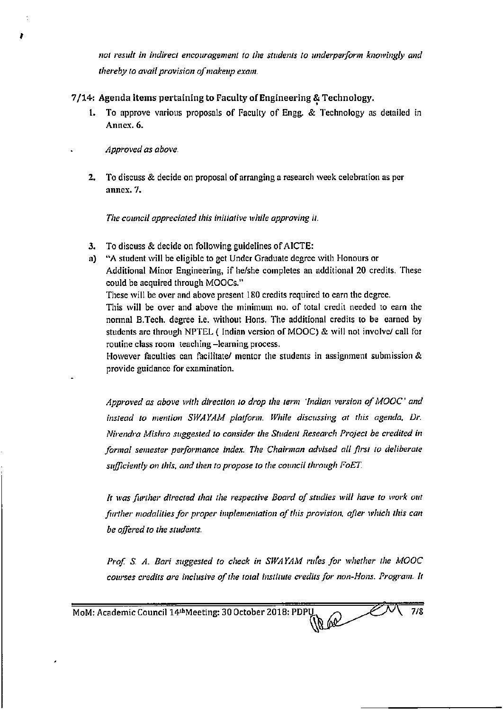not result in indirect encouragement to the students to underperform knowingly and thereby to avail provision of makeup exam.

### 7/14: Agenda items pertaining to Faculty of Engineering & Technology.

To approve various proposals of Faculty of Engg. & Technology as detailed in 1. Annex. 6.

Approved as above.

2. To discuss & decide on proposal of arranging a research week celebration as per annex. 7.

The council appreciated this initiative while approving it.

- To discuss & decide on following guidelines of AICTE: 3.
- a) "A student will be eligible to get Under Graduate degree with Honours or Additional Minor Engineering, if he/she completes an additional 20 credits. These could be acquired through MOOCs."

These will be over and above present 180 credits required to earn the degree.

This will be over and above the minimum no. of total credit needed to earn the normal B.Tech, degree i.e. without Hons. The additional credits to be earned by students are through NPTEL (Indian version of MOOC) & will not involve/ call for routine class room teaching -learning process.

However faculties can facilitate/ mentor the students in assignment submission & provide guidance for examination.

Approved as above with direction to drop the term 'Indian version of MOOC' and instead to mention SWAYAM platform. While discussing at this agenda, Dr. Nirendra Mishra suggested to consider the Student Research Project be credited in formal semester performance index. The Chairman advised all first to deliberate sufficiently on this, and then to propose to the council through FoET.

It was further directed that the respective Board of studies will have to work out further modalities for proper implementation of this provision, after which this can be offered to the students.

Prof. S. A. Bari suggested to check in SWAYAM rules for whether the MOOC courses credits are inclusive of the total institute credits for non-Hons. Program. It

Re Co  $7/8$ MoM: Academic Council 14th Meeting: 30 October 2018: PDPU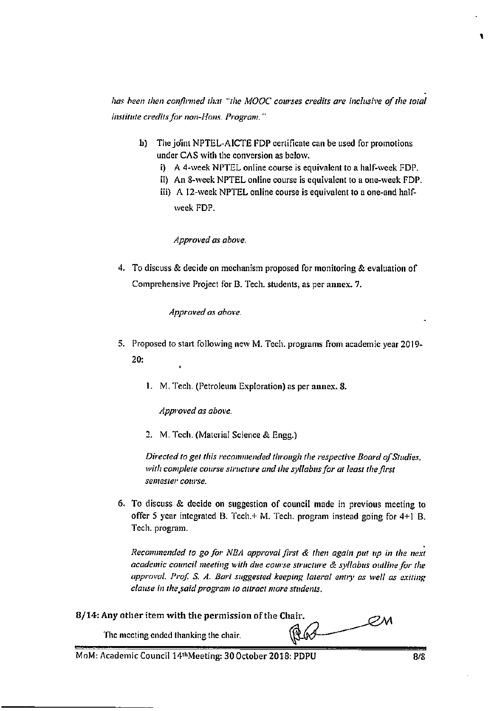has been then confirmed that "the MOOC courses credits are inclusive of the total institute credits for non-Hons. Program."

- b) The joint NPTEL-AICTE FDP certificate can be used for promotions under CAS with the conversion as below.
	- i) A 4-week NPTEL online course is equivalent to a half-week FDP.
	- ii) An 8-week NPTEL online course is equivalent to a one-week FDP.
	- iii) A 12-week NPTEL online course is equivalent to a one-and halfweek FDP.

### Approved as above.

4. To discuss & decide on mechanism proposed for monitoring & evaluation of Comprehensive Project for B. Tech. students, as per annex. 7.

Approved as above.

- 5. Proposed to start following new M. Tech, programs from academic year 2019- $20:$ 
	- 1. M. Tech. (Petroleum Exploration) as per annex. 8.

Approved as above.

2. M. Tech. (Material Science & Engg.)

Directed to get this recommended through the respective Board of Studies, with complete course structure and the syllabus for at least the first semester course.

6. To discuss & decide on suggestion of council made in previous meeting to offer 5 year integrated B. Tech.+ M. Tech. program instead going for 4+1 B. Tech. program.

Recommended to go for NBA approval first & then again put up in the next academic council meeting with due course structure & syllabus outline for the approval. Prof. S. A. Bari suggested keeping lateral entry as well as exiting clause in the said program to attract more students.

8/14: Any other item with the permission of the Chair.

PМ RG

The meeting ended thanking the chair.

MoM: Academic Council 14thMeeting: 30 October 2018: PDPU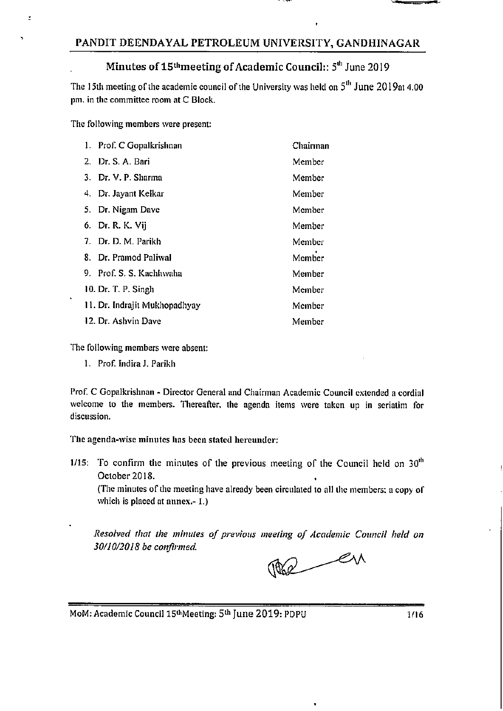### PANDIT DEENDAYAL PETROLEUM UNIVERSITY, GANDHINAGAR

# Minutes of 15<sup>th</sup> meeting of Academic Council:: 5<sup>th</sup> June 2019

The 15th meeting of the academic council of the University was held on 5<sup>th</sup> June 2019at 4.00 pm. in the committee room at C Block.

The following members were present:

 $\tilde{z}$ 

| 1. Prof. C Gopalkrishnan      | Chairman |
|-------------------------------|----------|
| 2. Dr. S. A. Bari             | Member   |
| 3. Dr. V. P. Sharma           | Member   |
| 4. Dr. Jayant Kelkar          | Member   |
| 5. Dr. Nigam Dave             | Member   |
| 6. Dr. R. K. Vij              | Member   |
| 7. Dr. D. M. Parikh           | Member   |
| 8. Dr. Pramod Paliwal         | Member   |
| 9. Prof. S. S. Kachhwaha      | Member   |
| 10. Dr. T. P. Singh           | Member   |
| 11. Dr. Indrajit Mukhopadhyay | Member   |
| 12. Dr. Ashvin Dave           | Member   |

The following members were absent:

1. Prof. Indira J. Parikh

Prof. C Gopalkrishnan - Director General and Chairman Academic Council extended a cordial welcome to the members. Thereafter, the agenda items were taken up in seriatim for discussion.

The agenda-wise minutes has been stated hereunder:

1/15: To confirm the minutes of the previous meeting of the Council held on  $30<sup>th</sup>$ October 2018.

(The minutes of the meeting have already been circulated to all the members; a copy of which is placed at annex.- 1.)

Resolved that the minutes of previous meeting of Academic Council held on 30/10/2018 be confirmed.

The en

MoM: Academic Council 15th Meeting: 5th June 2019: PDPU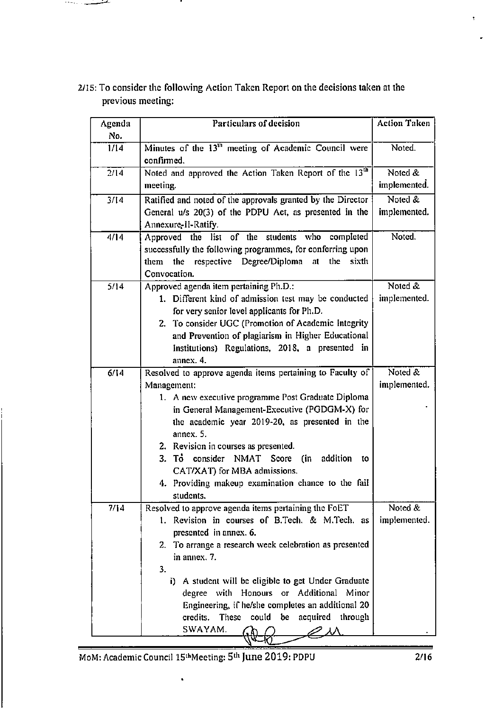| Agenda<br>No. | Particulars of decision                                                                                                                                                                                                                                                         | <b>Action Taken</b> |
|---------------|---------------------------------------------------------------------------------------------------------------------------------------------------------------------------------------------------------------------------------------------------------------------------------|---------------------|
| 1/14          | Minutes of the 13 <sup>th</sup> meeting of Academic Council were<br>confirmed.                                                                                                                                                                                                  | Noted.              |
| 2/14          | Noted and approved the Action Taken Report of the 13 <sup>th</sup>                                                                                                                                                                                                              | Noted &             |
|               | meeting.                                                                                                                                                                                                                                                                        | implemented.        |
| 3/14          | Ratified and noted of the approvals granted by the Director                                                                                                                                                                                                                     | Noted &             |
|               | General u/s 20(3) of the PDPU Act, as presented in the<br>Annexure-II-Ratify.                                                                                                                                                                                                   | implemented.        |
| 4/14          | Approved the list of the students who completed<br>successfully the following programmes, for conferring upon<br>them the respective Degree/Diploma at<br>the sixth<br>Convocation.                                                                                             | Noted.              |
| 5/14          | Approved agenda item pertaining Ph.D.:                                                                                                                                                                                                                                          | Noted &             |
|               | 1. Different kind of admission test may be conducted<br>for very senior level applicants for Ph.D.<br>2. To consider UGC (Promotion of Academic Integrity<br>and Prevention of plagiarism in Higher Educational<br>Institutions) Regulations, 2018, a presented in<br>annex. 4. | implemented.        |
| 6/14          | Resolved to approve agenda items pertaining to Faculty of                                                                                                                                                                                                                       | Noted &             |
|               | Management:                                                                                                                                                                                                                                                                     | implemented.        |
|               | 1. A new executive programme Post Graduate Diploma                                                                                                                                                                                                                              |                     |
|               | in General Management-Executive (PGDGM-X) for<br>the academic year 2019-20, as presented in the                                                                                                                                                                                 |                     |
|               | annex. 5.                                                                                                                                                                                                                                                                       |                     |
|               | 2. Revision in courses as presented.                                                                                                                                                                                                                                            |                     |
|               | 3. To consider NMAT Score (in<br>addition<br>to                                                                                                                                                                                                                                 |                     |
|               | CAT/XAT) for MBA admissions.                                                                                                                                                                                                                                                    |                     |
|               | 4. Providing makeup examination chance to the fail<br>students.                                                                                                                                                                                                                 |                     |
| 7/14          | Resolved to approve agenda items pertaining the FoET                                                                                                                                                                                                                            | Noted &             |
|               | 1. Revision in courses of B.Tech. & M.Tech. as                                                                                                                                                                                                                                  | implemented.        |
|               | presented in annex. 6.                                                                                                                                                                                                                                                          |                     |
|               | 2. To arrange a research week celebration as presented<br>in annex. 7.                                                                                                                                                                                                          |                     |
|               | 3.                                                                                                                                                                                                                                                                              |                     |
|               | i) A student will be eligible to get Under Graduate                                                                                                                                                                                                                             |                     |
|               | degree with Honours or Additional Minor                                                                                                                                                                                                                                         |                     |
|               | Engineering, if he/she completes an additional 20                                                                                                                                                                                                                               |                     |
|               | credits.<br>These could<br>be<br>acquired through                                                                                                                                                                                                                               |                     |
|               | SWAYAM.                                                                                                                                                                                                                                                                         |                     |
|               |                                                                                                                                                                                                                                                                                 |                     |

2/15: To consider the following Action Taken Report on the decisions taken at the previous meeting:

.

المستشيب المنادود

MoM: Academic Council 15<sup>th</sup>Meeting: 5<sup>th</sup> June 2019: PDPU

l,

ŧ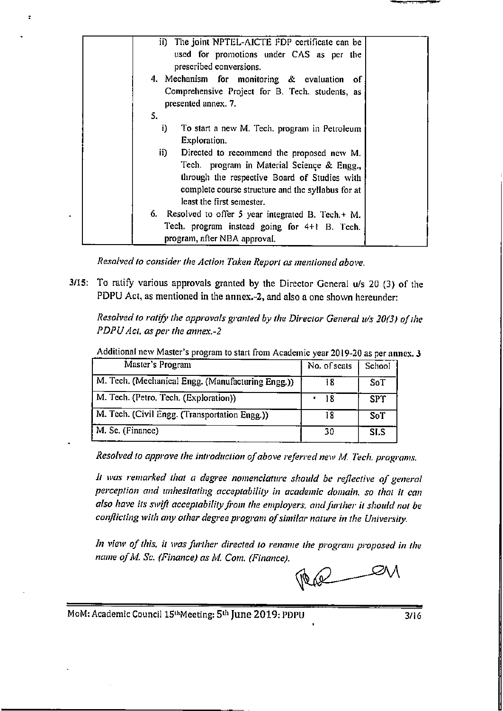| ii) The joint NPTEL-AICTE FDP certificate can be    |  |
|-----------------------------------------------------|--|
| used for promotions under CAS as per the            |  |
| prescribed conversions.                             |  |
| 4. Mechanism for monitoring & evaluation<br>- of    |  |
| Comprehensive Project for B. Tech. students, as     |  |
| presented annex. 7.                                 |  |
| 5.                                                  |  |
|                                                     |  |
| i)<br>To start a new M. Tech. program in Petroleum  |  |
| Exploration.                                        |  |
| Directed to recommend the proposed new M.<br>ii)    |  |
| Tech. program in Material Science & Engg.,          |  |
| through the respective Board of Studies with        |  |
| complete course structure and the syllabus for at   |  |
| least the first semester.                           |  |
|                                                     |  |
| 6. Resolved to offer 5 year integrated B. Tech.+ M. |  |
| Tech. program instead going for 4+1 B. Tech.        |  |
| program, after NBA approval.                        |  |

Resolved to consider the Action Taken Report as mentioned above.

3/15: To ratify various approvals granted by the Director General u/s 20 (3) of the PDPU Act, as mentioned in the annex.-2, and also a one shown hereunder:

Resolved to ratify the approvals granted by the Director General u/s 20(3) of the PDPU Act, as per the annex.-2

Additional new Master's program to start from Academic year 2019-20 as per annex. 3

| Master's Program                                  | No. of seats | School     |
|---------------------------------------------------|--------------|------------|
| M. Tech. (Mechanical Engg. (Manufacturing Engg.)) | 18           | SoT        |
| M. Tech. (Petro. Tech. (Exploration))             | 18           | <b>SPT</b> |
| M. Tech. (Civil Engg. (Transportation Engg.))     | 18           | SoT        |
| M. Sc. (Finance)                                  | 30           | SI.S       |

Resolved to approve the introduction of above referred new M. Tech. programs.

It was remarked that a degree nomenclature should be reflective of general perception and unhesitating acceptability in academic domain, so that it can also have its swift acceptability from the employers, and further it should not be conflicting with any other degree program of similar nature in the University.

In view of this, it was further directed to rename the program proposed in the name of M. Sc. (Finance) as M. Com. (Finance).

∠λΛ

MoM: Academic Council 15thMeeting: 5th June 2019: PDPU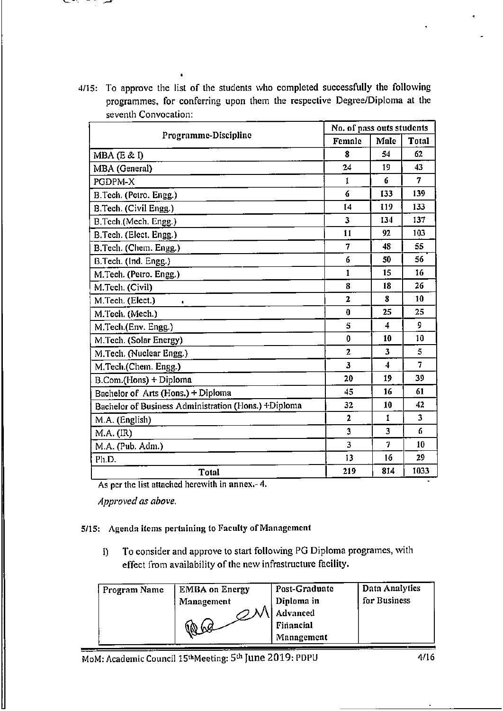#### ╰╴

4/15: To approve the list of the students who completed successfully the following programmes, for conferring upon them the respective Degree/Diploma at the seventh Convocation:

| Programme-Discipline                                 | No. of pass outs students |      |              |
|------------------------------------------------------|---------------------------|------|--------------|
|                                                      | Female                    | Male | <b>Total</b> |
| $MBA$ (E & I)                                        | 8                         | 54   | 62           |
| MBA (General)                                        | 24                        | 19   | 43           |
| PGDPM-X                                              | 1                         | 6    | 7            |
| B.Tech. (Petro. Engg.)                               | 6                         | 133  | 139          |
| B.Tech. (Civil Engg.)                                | 14                        | 119  | 133          |
| B.Tech.(Mech. Engg.)                                 | 3                         | 134  | 137          |
| B.Tech. (Elect. Engg.)                               | 11                        | 92   | 103          |
| B.Tech. (Chem. Engg.)                                | 7                         | 48   | 55.          |
| B.Tech. (Ind. Engg.)                                 | 6                         | 50   | 56           |
| M.Tech. (Petro. Engg.)                               | 1                         | 15   | 16           |
| M.Tech. (Civil)                                      | 8                         | 18   | 26           |
| M.Tech. (Elect.)<br>s.                               | $\overline{\mathbf{z}}$   | 8    | 10           |
| M.Tech. (Mech.)                                      | 0                         | 25   | 25           |
| M.Tech.(Env. Engg.)                                  | 5                         | 4    | 9            |
| M.Tech. (Solar Energy)                               | 0                         | 10   | 10           |
| M.Tech. (Nuclear Engg.)                              | 2                         | 3    | 5            |
| M.Tech.(Chem. Engg.)                                 | 3                         | 4    | 7            |
| B.Com.(Hons) + Diploma                               | 20                        | 19   | 39           |
| Bachelor of Arts (Hons.) + Diploma                   | 45                        | 16   | 61           |
| Bachelor of Business Administration (Hons.) +Diploma | 32                        | 10   | 42           |
| M.A. (English)                                       | $\mathbf{2}$              | 1    | 3            |
| M.A. (IR)                                            | 3                         | 3    | 6            |
| M.A. (Pub. Adm.)                                     | 3                         | 7    | 10           |
| Ph.D.                                                | 13                        | 16   | 29           |
| <b>Total</b>                                         | 219                       | 814  | 1033         |

As per the list attached herewith in  $annex.-4$ .

Approved as above.

### 5/15: Agenda items pertaining to Faculty of Management

To consider and approve to start following PG Diploma programes, with i) effect from availability of the new infrastructure facility.

| Program Name | <b>EMBA on Energy</b> | Post-Graduate | Data Analytics |
|--------------|-----------------------|---------------|----------------|
|              | Management            | Diploma in    | for Business   |
|              |                       | Advanced      |                |
|              | $60^{\circ}$<br>ЛØ    | Financial     |                |
|              |                       | Management    |                |

MoM: Academic Council 15<sup>th</sup>Meeting: 5<sup>th</sup> June 2019: PDPU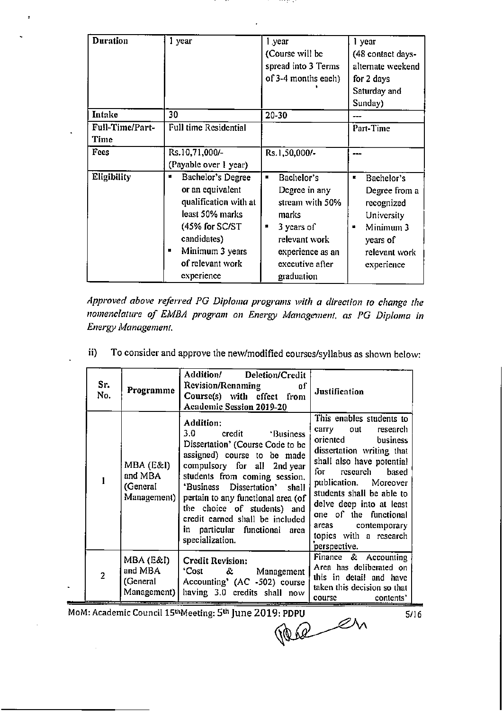| Duration                | 1 year                                                                                                                                                                                     | l year<br>(Course will be<br>spread into 3 Terms<br>of 3-4 months each)                                                                                             | l year<br>(48 contact days-<br>alternate weekend<br>for 2 days<br>Saturday and<br>Sunday)                                  |
|-------------------------|--------------------------------------------------------------------------------------------------------------------------------------------------------------------------------------------|---------------------------------------------------------------------------------------------------------------------------------------------------------------------|----------------------------------------------------------------------------------------------------------------------------|
| Intake                  | 30                                                                                                                                                                                         | 20-30                                                                                                                                                               |                                                                                                                            |
| Full-Time/Part-<br>Time | <b>Full time Residential</b>                                                                                                                                                               |                                                                                                                                                                     | Part-Time                                                                                                                  |
| Fees                    | Rs.10,71,000/-<br>(Payable over 1 year)                                                                                                                                                    | Rs.1,50,000/-                                                                                                                                                       |                                                                                                                            |
| Eligibility             | <b>Bachelor's Degree</b><br>н<br>or an equivalent<br>qualification with at<br>least 50% marks<br>$(45%$ for SC/ST<br>candidates)<br>Minimum 3 years<br>н<br>of relevant work<br>experience | Bachelor's<br>п.<br>Degree in any<br>stream with 50%<br>marks<br>3 years of<br>$\blacksquare$<br>relevant work<br>experience as an<br>executive after<br>graduation | Bachelor's<br>к.<br>Degree from a<br>recognized<br>University<br>Minimum 3<br>۰<br>years of<br>relevant work<br>experience |

...

and the second

Approved above referred PG Diploma programs with a direction to change the nomenclature of EMBA program on Energy Management, as PG Diploma in Energy Management.

| Sr.<br>No.     | Programme                                       | Addition/ Deletion/Credit<br><b>Revision/Renaming</b><br>of<br>Course(s) with effect from<br><b>Academic Session 2019-20</b>                                                                                                                                                                                                                                        | Justification                                                                                                                                                                                                                                                                                                                           |
|----------------|-------------------------------------------------|---------------------------------------------------------------------------------------------------------------------------------------------------------------------------------------------------------------------------------------------------------------------------------------------------------------------------------------------------------------------|-----------------------------------------------------------------------------------------------------------------------------------------------------------------------------------------------------------------------------------------------------------------------------------------------------------------------------------------|
|                | MBA (E&I)<br>and MBA<br>(General<br>Management) | Addition:<br>3.0<br>credit Business<br>Dissertation' (Course Code to be<br>assigned) course to be made<br>compulsory for all 2nd year<br>students from coming session.<br>'Business Dissertation' shall<br>pertain to any functional area (of<br>the choice of students) and<br>credit earned shall be included<br>in particular functional area<br>specialization. | This enables students to<br>carry<br>out<br>research<br>oriented<br>business<br>dissertation writing that<br>shall also have potential<br>for research based<br>publication. Moreover<br>students shall be able to<br>delve deep into at least<br>one of the functional<br>areas contemporary<br>topics with a research<br>perspective. |
| $\overline{2}$ | MBA (E&I)<br>and MBA<br>(General<br>Management) | <b>Credit Revision:</b><br>'Cost & Management<br>Accounting' $(AC -502)$ course<br>having 3.0 credits shall now                                                                                                                                                                                                                                                     | Finance & Accounting<br>Area has deliberated on<br>this in detail and have<br>taken this decision so that<br>course<br>contents'                                                                                                                                                                                                        |

To consider and approve the new/modified courses/syllabus as shown below:  $ii)$ 

MoM: Academic Council 15<sup>th</sup>Meeting: 5<sup>th</sup> June 2019: PDPU

per en

 $5/16$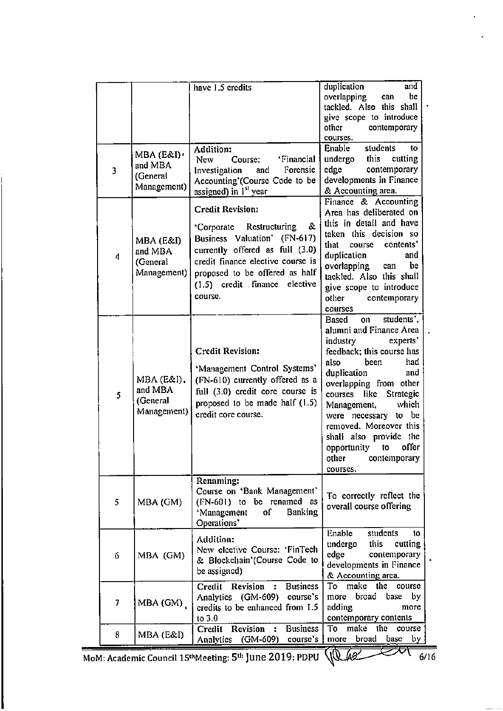|                  |                                                  | have 1.5 credits                                                                                                                                                                                                                                                                                              | duplication<br>and<br>overlapping<br>be<br>can<br>tackled. Also this shall<br>give scope to introduce                                                                                                                                                                                                                                                                                |
|------------------|--------------------------------------------------|---------------------------------------------------------------------------------------------------------------------------------------------------------------------------------------------------------------------------------------------------------------------------------------------------------------|--------------------------------------------------------------------------------------------------------------------------------------------------------------------------------------------------------------------------------------------------------------------------------------------------------------------------------------------------------------------------------------|
| 3                | MBA (E&I).<br>and MBA<br>(General<br>Management) | Addition:<br>Course:<br>'Financial<br>New<br>Forensic<br>Investigation<br>and<br>Accounting'(Course Code to be                                                                                                                                                                                                | other<br>contemporary<br>courses.<br>Enable<br>students<br>to<br>undergo<br>this cutting<br>edge<br>contemporary<br>developments in Finance                                                                                                                                                                                                                                          |
| $\boldsymbol{4}$ | MBA (E&I)<br>and MBA<br>(General<br>Management)  | assigned) in 1 <sup>st</sup> year<br><b>Credit Revision:</b><br>&.<br>Restructuring<br>Corporate <sup>-</sup><br>Business Valuation'<br>$(FN-617)$<br>currently offered as full (3.0)<br>credit finance elective course is<br>proposed to be offered as half<br>$(1.5)$ credit finance<br>elective<br>course. | & Accounting area.<br>Finance & Accounting<br>Area has deliberated on<br>this in detail and have<br>taken this decision so<br>contents'<br>that<br>course<br>duplication<br>and<br>overlapping<br>be<br>can<br>tackled. Also this shall<br>give scope to introduce<br>contemporary<br>other<br>courses                                                                               |
| 5                | MBA (E&I).<br>and MBA<br>(General<br>Management) | <b>Credit Revision:</b><br>'Management Control Systems'<br>(FN-610) currently offered as a<br>full (3.0) credit core course is<br>proposed to be made half (1.5)<br>credit core course.                                                                                                                       | students',<br>Based<br>on<br>alumni and Finance Area<br>industry experts'<br>feedback; this course has<br>also<br>been<br>had<br>duplication<br>and<br>overlapping from other<br>Strategic<br>like<br>courses<br>which<br>Management,<br>be<br>were necessary to<br>removed. Moreover this<br>shall also provide the<br>offer<br>opportunity<br>to<br>other contemporary<br>courses. |
| 5                | MBA (GM)                                         | Renaming:<br>Course on 'Bank Management'<br>be renamed as<br>$(FN-601)$ to<br>'Management<br><b>Banking</b><br>1o<br>Operations'                                                                                                                                                                              | To correctly reflect the<br>overall course offering                                                                                                                                                                                                                                                                                                                                  |
| 6                | MBA (GM)                                         | Addition:<br>New elective Course: 'FinTech<br>& Blockchain'(Course Code to<br>be assigned)                                                                                                                                                                                                                    | Enable<br>students<br>to<br>undergo<br>this<br>cutting<br>edge<br>contemporary<br>developments in Finance<br>& Accounting area.                                                                                                                                                                                                                                                      |
| 7                | MBA (GM)                                         | Credit Revision :<br><b>Business</b><br>Analytics (GM-609) course's<br>credits to be enhanced from 1.5<br>to $3.0$                                                                                                                                                                                            | To make the course<br>broad base<br>by<br>more<br>adding<br>more<br>contemporary contents                                                                                                                                                                                                                                                                                            |
| 8                | MBA (E&I)                                        | Credit Revision :<br><b>Business</b><br>Analytics (GM-609)<br>course's                                                                                                                                                                                                                                        | make<br>the<br>To<br>course<br>broad<br>more<br>base<br>by                                                                                                                                                                                                                                                                                                                           |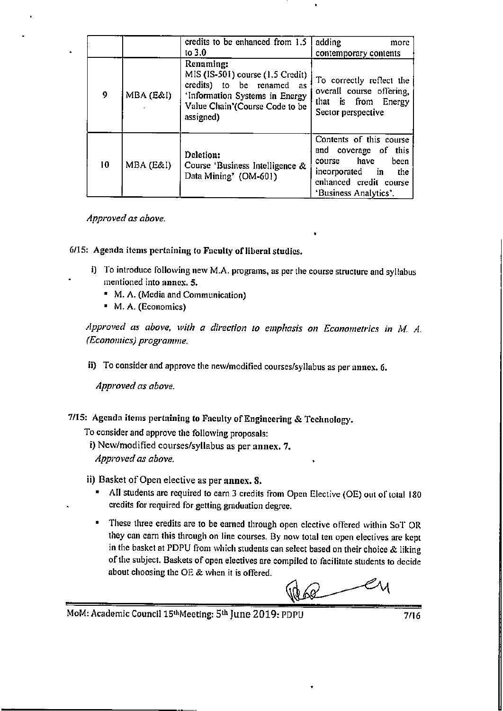|    |           | credits to be enhanced from 1.5<br>to $3.0$                                                                                                                 | adding<br>more<br>contemporary contents                                                                                                                |
|----|-----------|-------------------------------------------------------------------------------------------------------------------------------------------------------------|--------------------------------------------------------------------------------------------------------------------------------------------------------|
| 9  | MBA (E&I) | Renaming:<br>MIS (IS-501) course (1.5 Credit)<br>credits) to be renamed as<br>'Information Systems in Energy<br>Value Chain'(Course Code to be<br>assigned) | To correctly reflect the<br>overall course offering,<br>that is from Energy<br>Sector perspective                                                      |
| 10 | MBA (E&I) | Deletion:<br>Course 'Business Intelligence &<br>Data Mining' (OM-601)                                                                                       | Contents of this course<br>and coverage of this<br>have<br>been<br>course<br>incorporated in<br>the<br>enhanced credit course<br>'Business Analytics'. |

### Approved as above.

6/15: Agenda items pertaining to Faculty of liberal studies.

- i) To introduce following new M.A. programs, as per the course structure and syllabus mentioned into annex. 5.
	- " M. A. (Media and Communication)
	- M. A. (Economics)

Approved as above, with a direction to emphasis on Econometrics in M. A. (Economics) programme.

ii) To consider and approve the new/modified courses/syllabus as per annex. 6.

Approved as above.

7/15: Agenda items pertaining to Faculty of Engineering & Technology.

To consider and approve the following proposals:

i) New/modified courses/syllabus as per annex. 7.

Approved as above.

ii) Basket of Open elective as per annex. 8.

- " All students are required to earn 3 credits from Open Elective (OE) out of total 180 credits for required for getting graduation degree.
- These three credits are to be earned through open elective offered within SoT OR they can earn this through on line courses. By now total ten open electives are kept in the basket at PDPU from which students can select based on their choice & liking of the subject. Baskets of open electives are compiled to facilitate students to decide about choosing the OE & when it is offered.

68

MoM: Academic Council 15th Meeting: 5th June 2019: PDPU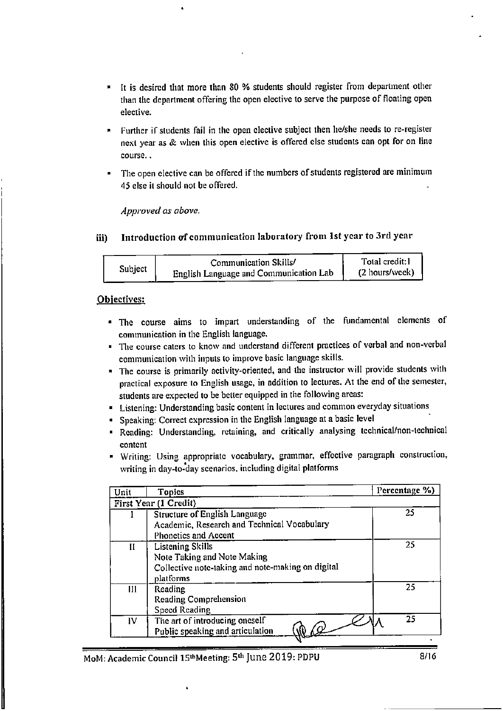- It is desired that more than 80 % students should register from department other than the department offering the open elective to serve the purpose of floating open elective.
- Further if students fail in the open elective subject then he/she needs to re-register next year as & when this open elective is offered else students can opt for on line course..
- The open elective can be offered if the numbers of students registered are minimum 45 else it should not be offered.

Approved as above.

Introduction of communication laboratory from 1st year to 3rd year iii)

|         | Communication Skills/                  | Total credit:1 |
|---------|----------------------------------------|----------------|
| Subject | English Language and Communication Lab | (2 hours/week) |

### Objectives:

- · The course aims to impart understanding of the fundamental elements of communication in the English language.
- The course caters to know and understand different practices of verbal and non-verbal communication with inputs to improve basic language skills.
- The course is primarily activity-oriented, and the instructor will provide students with practical exposure to English usage, in addition to lectures. At the end of the semester, students are expected to be better equipped in the following areas:
- Listening: Understanding basic content in lectures and common everyday situations
- Speaking: Correct expression in the English language at a basic level
- " Reading: Understanding, retaining, and critically analysing technical/non-technical content
- " Writing: Using appropriate vocabulary, grammar, effective paragraph construction, writing in day-to-day scenarios, including digital platforms

| Unit | <b>Topics</b>                                                                                                            | Percentage %) |
|------|--------------------------------------------------------------------------------------------------------------------------|---------------|
|      | <b>First Year (1 Credit)</b>                                                                                             |               |
|      | Structure of English Language<br>Academic, Research and Technical Vocabulary<br><b>Phonetics and Accent</b>              | 25            |
| Н    | <b>Listening Skills</b><br>Note Taking and Note Making<br>Collective note-taking and note-making on digital<br>platforms | 25            |
| [1]  | Reading<br><b>Reading Comprehension</b><br>Speed Reading                                                                 | 25            |
| IV   | The art of introducing oneself<br>Public speaking and articulation                                                       | 25            |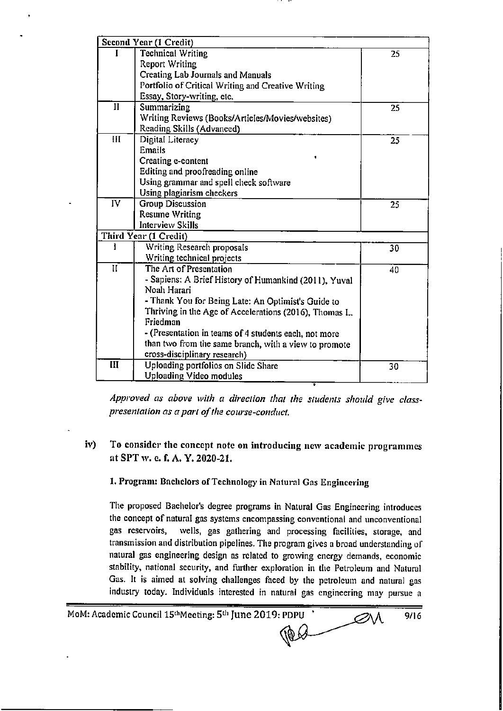|                         | Second Year (1 Credit)                                 |                 |
|-------------------------|--------------------------------------------------------|-----------------|
| L                       | <b>Technical Writing</b>                               | 25              |
|                         | <b>Report Writing</b>                                  |                 |
|                         | Creating Lab Journals and Manuals                      |                 |
|                         | Portfolio of Critical Writing and Creative Writing     |                 |
|                         | Essay, Story-writing, etc.                             |                 |
| $\mathbf{I}$            | Summarizing                                            | 25              |
|                         | Writing Reviews (Books/Articles/Movies/websites)       |                 |
|                         | Reading Skills (Advanced)                              |                 |
| III                     | Digital Literacy                                       | 25              |
|                         | <b>Emails</b>                                          |                 |
|                         | Creating e-content                                     |                 |
|                         | Editing and proofreading online                        |                 |
|                         | Using grammar and spell check software                 |                 |
|                         | Using plagiarism checkers                              |                 |
| $\overline{\text{IV}}$  | <b>Group Discussion</b>                                | 25              |
|                         | <b>Resume Writing</b>                                  |                 |
|                         | <b>Interview Skills</b>                                |                 |
|                         | Third Year (1 Credit)                                  |                 |
| I                       | Writing Research proposals                             | 30 <sub>o</sub> |
|                         | Writing technical projects                             |                 |
| $\overline{\mathbf{H}}$ | The Art of Presentation                                | 40              |
|                         | - Sapiens: A Brief History of Humankind (2011), Yuval  |                 |
|                         | Noah Harari                                            |                 |
|                         | - Thank You for Being Late: An Optimist's Guide to     |                 |
|                         | Thriving in the Age of Accelerations (2016), Thomas L. |                 |
|                         | Friedman                                               |                 |
|                         | - (Presentation in teams of 4 students each, not more  |                 |
|                         | than two from the same branch, with a view to promote  |                 |
|                         | cross-disciplinary research)                           |                 |
| III                     | Uploading portfolios on Slide Share                    | 30              |
|                         | <b>Uploading Video modules</b>                         |                 |

Approved as above with a direction that the students should give classpresentation as a part of the course-conduct.

#### iv) To consider the concept note on introducing new academic programmes at SPT w. e. f. A. Y. 2020-21.

1. Program: Bachelors of Technology in Natural Gas Engineering

The proposed Bachelor's degree programs in Natural Gas Engineering introduces the concept of natural gas systems encompassing conventional and unconventional gas reservoirs, wells, gas gathering and processing facilities, storage, and transmission and distribution pipelines. The program gives a broad understanding of natural gas engineering design as related to growing energy demands, economic stability, national security, and further exploration in the Petroleum and Natural Gas. It is aimed at solving challenges faced by the petroleum and natural gas industry today. Individuals interested in natural gas engineering may pursue a

MoM: Academic Council 15<sup>th</sup>Meeting: 5<sup>th</sup> June 2019: PDPU  $\overline{\mathscr{A}}$  $9/16$ **TOB**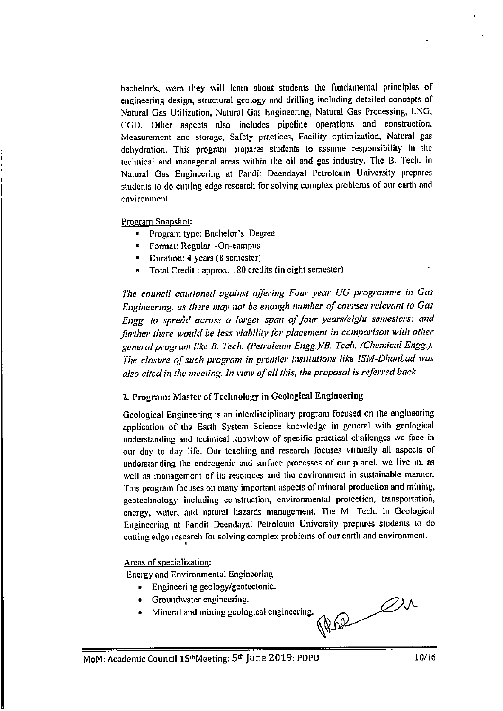bachelor's, wero they will learn about students the fundamental principles of engineering design, structural geology and drilling including detailed concepts of Natural Gas Utilization, Natural Gas Engineering, Natural Gas Processing, LNG, CGD. Other aspects also includes pipeline operations and construction, Measurement and storage, Safety practices, Facility optimization, Natural gas dehydration. This program prepares students to assume responsibility in the technical and managerial areas within the oil and gas industry. The B. Tech. in Natural Gas Engineering at Pandit Deendayal Petroleum University prepares students to do cutting edge research for solving complex problems of our earth and environment.

Program Snapshot:

- Program type: Bachelor's Degree  $\blacksquare$
- Format: Regular -On-campus
- Duration: 4 years (8 semester)
- Total Credit: approx. 180 credits (in eight semester)

The council cautioned against offering Four year UG programme in Gas Engineering, as there may not be enough number of courses relevant to Gas Engg, to spread across a larger span of four years/eight semesters; and further there would be less viability for placement in comparison with other general program like B. Tech. (Petroleum Engg.)/B. Tech. (Chemical Engg.). The closure of such program in premier institutions like ISM-Dhanbad was also cited in the meeting. In view of all this, the proposal is referred back.

### 2. Program: Master of Technology in Geological Engineering

Geological Engineering is an interdisciplinary program focused on the engineering application of the Earth System Science knowledge in general with geological understanding and technical knowhow of specific practical challenges we face in our day to day life. Our teaching and research focuses virtually all aspects of understanding the endrogenic and surface processes of our planet, we live in, as well as management of its resources and the environment in sustainable manner. This program focuses on many important aspects of mineral production and mining, geotechnology including construction, environmental protection, transportation, energy, water, and natural hazards management. The M. Tech. in Geological Engineering at Pandit Deendayal Petroleum University prepares students to do cutting edge research for solving complex problems of our earth and environment.

### Areas of specialization:

**Energy and Environmental Engineering** 

- Engineering geology/geotectonic.  $\bullet$
- Groundwater engineering.
- Mineral and mining geological engineering.

REP 21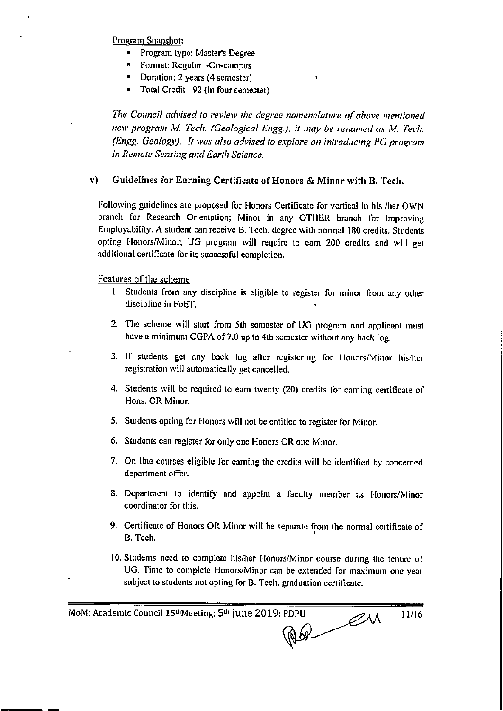Program Snapshot:

- Program type: Master's Degree
- \* Format: Regular -On-campus
- Duration: 2 years (4 semester)
- Total Credit: 92 (in four semester)  $\blacksquare$

The Council advised to review the degree nomenclature of above mentioned new program M. Tech. (Geological Engg.), it may be renamed as M. Tech. (Engg. Geology). It was also advised to explore on introducing PG program in Remote Sensing and Earth Science.

#### ${\bf v}$ Guidelines for Earning Certificate of Honors & Minor with B. Tech.

Following guidelines are proposed for Honors Certificate for vertical in his /her OWN branch for Research Orientation; Minor in any OTHER branch for Improving Employability. A student can receive B. Tech. degree with normal 180 credits. Students opting Honors/Minor; UG program will require to earn 200 credits and will get additional certificate for its successful completion.

Features of the scheme

- 1. Students from any discipline is eligible to register for minor from any other discipline in FoET.
- 2. The scheme will start from 5th semester of UG program and applicant must have a minimum CGPA of 7.0 up to 4th semester without any back log.
- 3. If students get any back log after registering for Honors/Minor his/her registration will automatically get cancelled.
- 4. Students will be required to earn twenty (20) credits for earning certificate of Hons. OR Minor.
- 5. Students opting for Honors will not be entitled to register for Minor.
- 6. Students can register for only one Honors OR one Minor.
- 7. On line courses eligible for earning the credits will be identified by concerned department offer.
- 8. Department to identify and appoint a faculty member as Honors/Minor coordinator for this.
- 9. Certificate of Honors OR Minor will be separate from the normal certificate of B. Tech.
- 10. Students need to complete his/her Honors/Minor course during the tenure of UG. Time to complete Honors/Minor can be extended for maximum one year subject to students not opting for B. Tech. graduation certificate.

MoM: Academic Council 15<sup>th</sup>Meeting: 5<sup>th</sup> June 2019: PDPU

NOR ON

11/16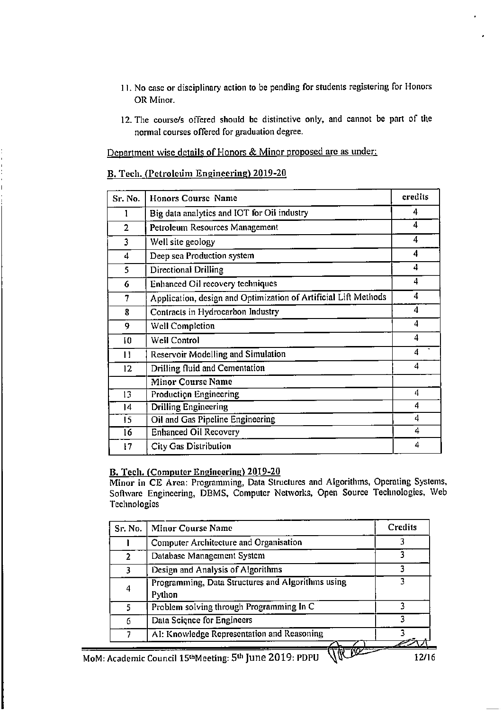- 11. No case or disciplinary action to be pending for students registering for Honors OR Minor.
- 12. The course/s offered should be distinctive only, and cannot be part of the normal courses offered for graduation degree.

Department wise details of Honors & Minor proposed are as under:

### B. Tech. (Petroleum Engineering) 2019-20

| Sr. No.        | <b>Honors Course Name</b>                                       | credits |
|----------------|-----------------------------------------------------------------|---------|
|                | Big data analytics and IOT for Oil industry                     | 4       |
| $\overline{2}$ | Petroleum Resources Management                                  | 4       |
| 3              | Well site geology                                               | 4       |
| 4              | Deep sea Production system                                      | 4       |
| 5              | Directional Drilling                                            | 4       |
| 6              | Enhanced Oil recovery techniques                                | 4       |
| 7              | Application, design and Optimization of Artificial Lift Methods | 4       |
| 8              | Contracts in Hydrocarbon Industry                               | 4       |
| 9              | <b>Well Completion</b>                                          | 4       |
| 10             | <b>Well Control</b>                                             | 4       |
| 11             | <b>Reservoir Modelling and Simulation</b>                       | 4       |
| 12             | Drilling fluid and Cementation                                  | 4       |
|                | <b>Minor Course Name</b>                                        |         |
| 13             | <b>Production Engineering</b>                                   | 4       |
| 14             | <b>Drilling Engineering</b>                                     | 4       |
| 15             | Oil and Gas Pipeline Engineering                                | 4       |
| 16             | <b>Enhanced Oil Recovery</b>                                    | 4       |
| 17             | <b>City Gas Distribution</b>                                    | 4       |

### **B. Tech. (Computer Engineering) 2019-20**

Minor in CE Area: Programming, Data Structures and Algorithms, Operating Systems, Software Engineering, DBMS, Computer Networks, Open Source Technologies, Web Technologies

| <b>Credits</b> | <b>Minor Course Name</b>                                                   | Sr. No. |
|----------------|----------------------------------------------------------------------------|---------|
| 3              | Computer Architecture and Organisation                                     |         |
| 3              | Database Management System<br>2                                            |         |
| 3              | Design and Analysis of Algorithms<br>3                                     |         |
|                | Programming, Data Structures and Algorithms using<br>4<br>Python           |         |
|                | Problem solving through Programming In C<br>5.                             |         |
|                | Data Science for Engineers<br>6                                            |         |
|                | AI: Knowledge Representation and Reasoning<br>7                            |         |
|                | \cademic Council 15 <sup>th</sup> Meeting: 5 <sup>th</sup> June 2019: PDPU |         |

12/16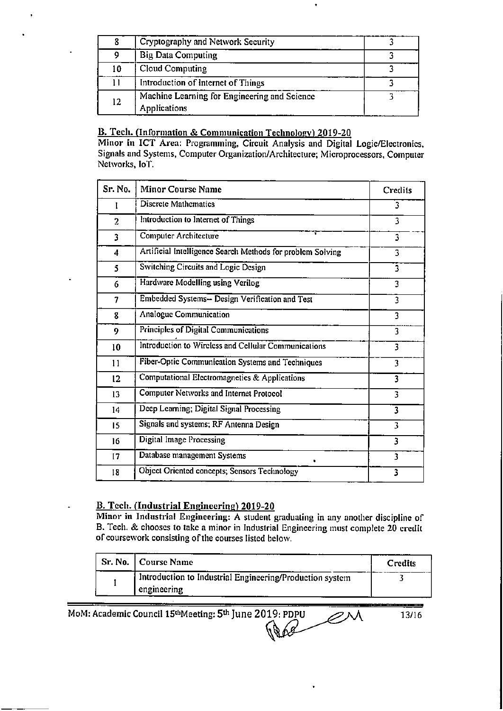|    | Cryptography and Network Security                            |  |
|----|--------------------------------------------------------------|--|
|    | <b>Big Data Computing</b>                                    |  |
| 10 | Cloud Computing                                              |  |
|    | Introduction of Internet of Things                           |  |
| 12 | Machine Learning for Engineering and Science<br>Applications |  |

### B. Tech. (Information & Communication Technology) 2019-20

÷

Minor in ICT Area: Programming, Circuit Analysis and Digital Logic/Electronics, Signals and Systems, Computer Organization/Architecture; Microprocessors, Computer Networks, IoT.

| Sr. No.        | <b>Minor Course Name</b>                                   | Credits                 |
|----------------|------------------------------------------------------------|-------------------------|
| I              | <b>Discrete Mathematics</b>                                | 3                       |
| $\overline{a}$ | Introduction to Internet of Things                         | 3                       |
| 3              | <b>Computer Architecture</b>                               | $\overline{\mathbf{3}}$ |
| 4              | Artificial Intelligence Search Methods for problem Solving | 3                       |
| 5              | Switching Circuits and Logic Design                        | $\overline{\mathbf{3}}$ |
| 6              | Hardware Modelling using Verilog                           | $\overline{\mathbf{3}}$ |
| 7              | Embedded Systems-- Design Verification and Test            | $\overline{\mathbf{3}}$ |
| 8              | <b>Analogue Communication</b>                              | 3                       |
| 9              | <b>Principles of Digital Communications</b>                | 3                       |
| 10             | Introduction to Wireless and Cellular Communications       | 3                       |
| 11             | Fiber-Optic Communication Systems and Techniques           | 3                       |
| 12             | Computational Electromagnetics & Applications              | 3                       |
| 13             | <b>Computer Networks and Internet Protocol</b>             | 3                       |
| 14             | Deep Learning; Digital Signal Processing                   | 3                       |
| 15             | Signals and systems; RF Antenna Design                     | 3                       |
| 16             | Digital Image Processing                                   | 3                       |
| 17             | Database management Systems<br>٠                           | 3                       |
| 18             | Object Oriented concepts; Sensors Technology               | 3                       |

### **B. Tech. (Industrial Engineering) 2019-20**

Minor in Industrial Engineering: A student graduating in any another discipline of B. Tech. & chooses to take a minor in Industrial Engineering must complete 20 credit of coursework consisting of the courses listed below.

| Sr. No.   Course Name                                                   | Credits |
|-------------------------------------------------------------------------|---------|
| Introduction to Industrial Engineering/Production system<br>engineering |         |

MoM: Academic Council 15<sup>th</sup>Meeting: 5<sup>th</sup> June 2019: PDPU AN

13/16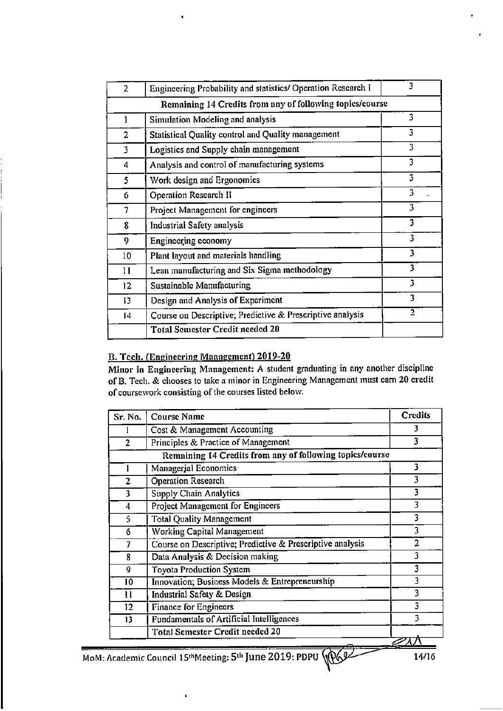| $\overline{2}$ | Engineering Probability and statistics/ Operation Research I | 3                       |  |
|----------------|--------------------------------------------------------------|-------------------------|--|
|                | Remaining 14 Credits from any of following topics/course     |                         |  |
| 1              | Simulation Modeling and analysis                             | 3                       |  |
| $\overline{2}$ | Statistical Quality control and Quality management           | 3                       |  |
| 3              | Logistics and Supply chain management                        | 3                       |  |
| 4              | Analysis and control of manufacturing systems                | 3                       |  |
| 5              | Work design and Ergonomics                                   | 3                       |  |
| 6              | Operation Research II                                        | 3                       |  |
| 7              | Project Management for engineers                             | 3                       |  |
| 8              | <b>Industrial Safety analysis</b>                            | $\overline{\mathbf{3}}$ |  |
| 9              | Engineering economy                                          | 3                       |  |
| 10             | Plant layout and materials handling                          | 3                       |  |
| Ħ              | Lean manufacturing and Six Sigma methodology                 | 3                       |  |
| 12             | <b>Sustainable Manufacturing</b>                             | 3                       |  |
| 13             | Design and Analysis of Experiment                            | 3                       |  |
| 14             | Course on Descriptive; Predictive & Prescriptive analysis    | 2                       |  |
|                | <b>Total Semester Credit needed 20</b>                       |                         |  |
|                |                                                              |                         |  |

### B. Tech. (Engineering Management) 2019-20

Minor in Engineering Management: A student graduating in any another discipline of B. Tech. & chooses to take a minor in Engineering Management must earn 20 credit of coursework consisting of the courses listed below.

| Sr. No.        | <b>Course Name</b>                                        | Credits        |
|----------------|-----------------------------------------------------------|----------------|
|                | Cost & Management Accounting                              | 3              |
| $\overline{2}$ | Principles & Practice of Management                       | 3              |
|                | Remaining 14 Credits from any of following topics/course  |                |
|                | Managerial Economics                                      | 3              |
| $\overline{2}$ | <b>Operation Research</b>                                 | 3              |
| 3              | <b>Supply Chain Analytics</b>                             | 3              |
| 4              | Project Management for Engineers                          | 3              |
| 5              | <b>Total Quality Management</b>                           | 3              |
| 6              | <b>Working Capital Management</b>                         | 3              |
| 7              | Course on Descriptive; Predictive & Prescriptive analysis | $\overline{2}$ |
| 8              | Data Analysis & Decision making                           | 3              |
| 9              | <b>Toyota Production System</b>                           | 3              |
| 10             | Innovation; Business Models & Entrepreneurship            | 3              |
| $\mathbf{11}$  | Industrial Safety & Design                                | 3              |
| 12             | <b>Finance for Engineers</b>                              | 3              |
| 13             | <b>Fundamentals of Artificial Intelligences</b>           | 3              |
|                | <b>Total Semester Credit needed 20</b>                    |                |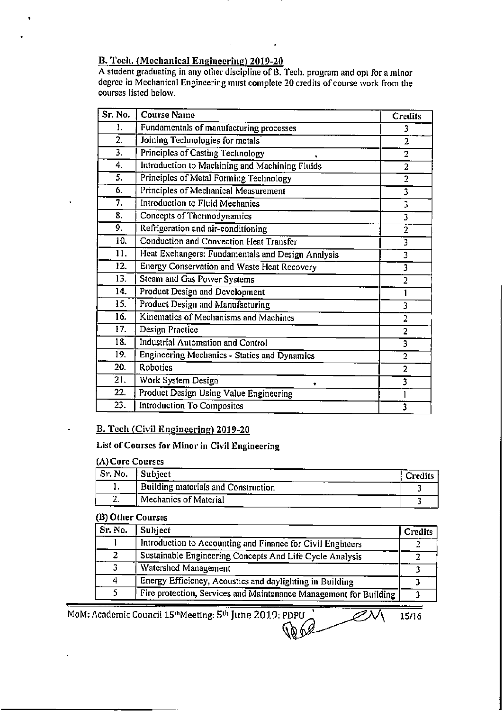# B. Tech. (Mechanical Engineering) 2019-20

A student graduating in any other discipline of B. Tech. program and opt for a minor degree in Mechanical Engineering must complete 20 credits of course work from the courses listed below.

| Sr. No.          | <b>Course Name</b>                                 | Credits                 |
|------------------|----------------------------------------------------|-------------------------|
| 1.               | Fundamentals of manufacturing processes            | 3                       |
| $2^{-}$          | Joining Technologies for metals                    | $\overline{2}$          |
| 3.               | Principles of Casting Technology                   | $\overline{2}$          |
| 4.               | Introduction to Machining and Machining Fluids     | $\overline{2}$          |
| $\overline{5}$ . | Principles of Metal Forming Technology             | $\overline{2}$          |
| 6.               | Principles of Mechanical Measurement               | $\overline{\mathbf{3}}$ |
| 7.               | Introduction to Fluid Mechanics                    | $\overline{\mathbf{3}}$ |
| 8.               | Concepts of Thermodynamics                         | $\overline{\mathbf{3}}$ |
| 9.               | Refrigeration and air-conditioning                 | $\overline{2}$          |
| 10.              | <b>Conduction and Convection Heat Transfer</b>     | $\overline{3}$          |
| 11.              | Heat Exchangers: Fundamentals and Design Analysis  | $\overline{\mathbf{3}}$ |
| 12.              | <b>Energy Conservation and Waste Heat Recovery</b> | $\overline{\mathbf{3}}$ |
| 13.              | <b>Steam and Gas Power Systems</b>                 | $\overline{2}$          |
| 14.              | <b>Product Design and Development</b>              |                         |
| 15.              | Product Design and Manufacturing                   | 3                       |
| 16.              | Kinematics of Mechanisms and Machines              | $\overline{2}$          |
| 17.              | <b>Design Practice</b>                             | $\overline{2}$          |
| 18.              | <b>Industrial Automation and Control</b>           | $\overline{\mathbf{3}}$ |
| 19.              | Engineering Mechanics - Statics and Dynamics       | $\overline{2}$          |
| 20.              | Robotics                                           | $\overline{2}$          |
| $\overline{21}$  | Work System Design<br>٠                            | $\overline{\mathbf{3}}$ |
| 22.              | Product Design Using Value Engineering             | 1                       |
| 23.              | <b>Introduction To Composites</b>                  | 3                       |

### B. Tech (Civil Engineering) 2019-20

### List of Courses for Minor in Civil Engineering

### (A) Core Courses

| ' Sr. No. | Subject                                    | Credits |
|-----------|--------------------------------------------|---------|
| . .       | <b>Building materials and Construction</b> |         |
| ٠.        | Mechanics of Material                      |         |

### (B) Other Courses

| Sr. No. | Subject                                                           | <b>Credits</b> |
|---------|-------------------------------------------------------------------|----------------|
|         | Introduction to Accounting and Finance for Civil Engineers        |                |
| 2       | Sustainable Engineering Concepts And Life Cycle Analysis          |                |
|         | Watershed Management                                              |                |
| 4       | Energy Efficiency, Acoustics and daylighting in Building          |                |
|         | Fire protection, Services and Maintenance Management for Building |                |

MoM: Academic Council 15<sup>th</sup>Meeting: 5<sup>th</sup> June 2019: PDPU

15/16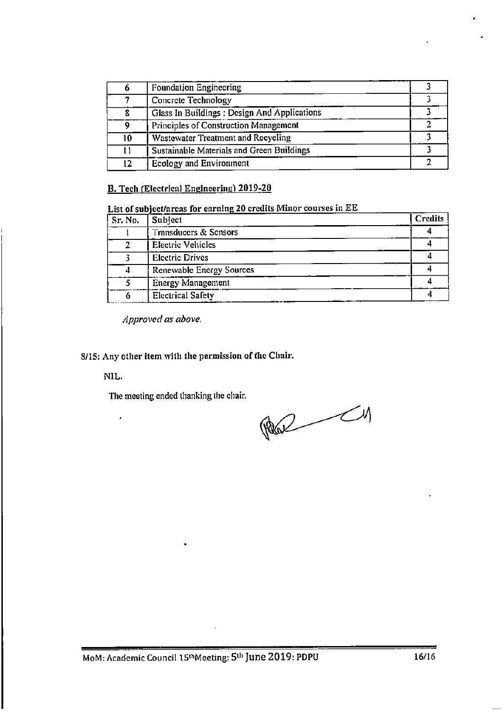| 6  | Foundation Engineering                       |  |
|----|----------------------------------------------|--|
|    | Concrete Technology                          |  |
| 8  | Glass In Buildings : Design And Applications |  |
| 9  | Principles of Construction Management        |  |
| 10 | Wastewater Treatment and Recycling           |  |
| 11 | Sustainable Materials and Green Buildings    |  |
| 12 | Ecology and Environment                      |  |

### B. Tech (Electrical Engineering) 2019-20

List of subject/areas for earning 20 credits Minor courses in EE

| Sr. No. | Subject                         | Credits |
|---------|---------------------------------|---------|
|         | Transducers & Sensors           |         |
|         | <b>Electric Vehicles</b>        |         |
|         | <b>Electric Drives</b>          |         |
| 4       | <b>Renewable Energy Sources</b> |         |
|         | <b>Energy Management</b>        |         |
| 6       | <b>Electrical Safety</b>        |         |

Approved as above.

8/15: Any other item with the permission of the Chair.

NIL.

 $\ddot{\phantom{1}}$ 

The meeting ended thanking the chair.

 $\begin{picture}(130,10) \put(0,0){\line(1,0){10}} \put(15,0){\line(1,0){10}} \put(15,0){\line(1,0){10}} \put(15,0){\line(1,0){10}} \put(15,0){\line(1,0){10}} \put(15,0){\line(1,0){10}} \put(15,0){\line(1,0){10}} \put(15,0){\line(1,0){10}} \put(15,0){\line(1,0){10}} \put(15,0){\line(1,0){10}} \put(15,0){\line(1,0){10}} \put(15,0){\line($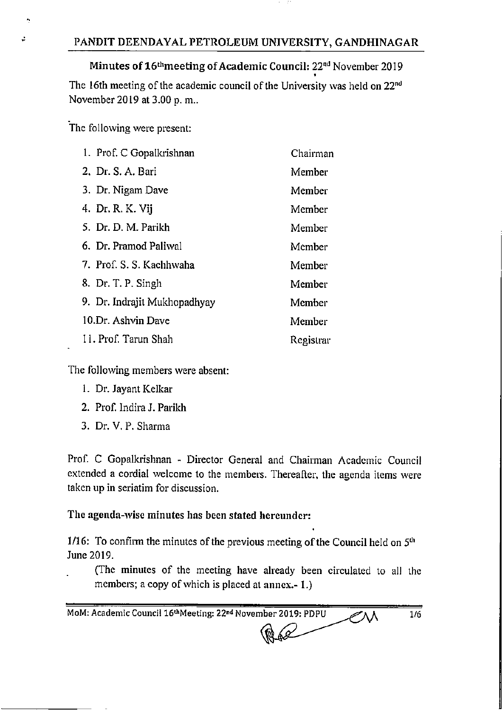# Minutes of 16<sup>th</sup> meeting of Academic Council: 22<sup>nd</sup> November 2019

The 16th meeting of the academic council of the University was held on 22<sup>nd</sup> November 2019 at 3.00 p.m..

The following were present:

ż

| 1. Prof. C Gopalkrishnan     | Chairman  |
|------------------------------|-----------|
| 2. Dr. S. A. Bari            | Member    |
| 3. Dr. Nigam Dave            | Member    |
| 4. Dr. R. K. Vij             | Member    |
| 5. Dr. D. M. Parikh          | Member    |
| 6. Dr. Pramod Paliwal        | Member    |
| 7. Prof. S. S. Kachhwaha     | Member    |
| 8. Dr. T. P. Singh           | Member    |
| 9. Dr. Indrajit Mukhopadhyay | Member    |
| 10.Dr. Ashvin Dave           | Member    |
| II. Prof. Tarun Shah         | Registrar |

The following members were absent:

- 1. Dr. Jayant Kelkar
- 2. Prof. Indira J. Parikh
- 3. Dr. V. P. Sharma

Prof. C Gopalkrishnan - Director General and Chairman Academic Council extended a cordial welcome to the members. Thereafter, the agenda items were taken up in seriatim for discussion.

# The agenda-wise minutes has been stated hereunder:

1/16: To confirm the minutes of the previous meeting of the Council held on  $5<sup>th</sup>$ June 2019.

(The minutes of the meeting have already been circulated to all the members; a copy of which is placed at annex.-1.)

MoM: Academic Council 16th Meeting: 22nd November 2019: PDPU  $1/6$ ╱∧∧  $\mathscr{L}$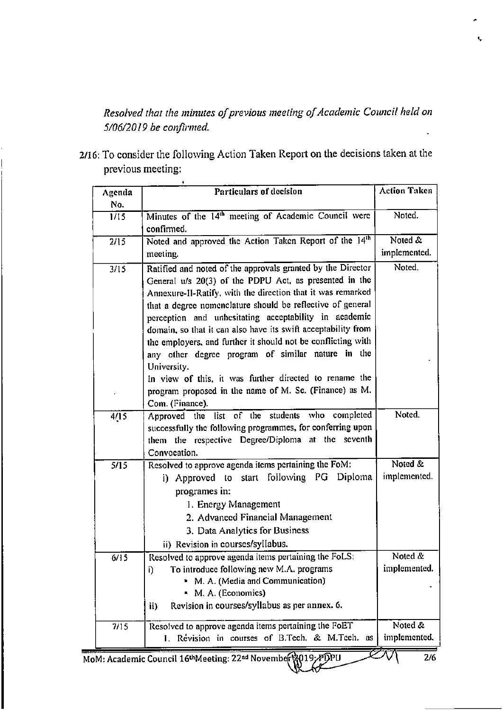Resolved that the minutes of previous meeting of Academic Council held on 5/06/2019 be confirmed.

2/16: To consider the following Action Taken Report on the decisions taken at the previous meeting:

| Agenda | Particulars of decision                                                                                                                                                                                                                                                                                                                                                                                                                                                                                                                                                                                                              | <b>Action Taken</b>     |
|--------|--------------------------------------------------------------------------------------------------------------------------------------------------------------------------------------------------------------------------------------------------------------------------------------------------------------------------------------------------------------------------------------------------------------------------------------------------------------------------------------------------------------------------------------------------------------------------------------------------------------------------------------|-------------------------|
| No.    |                                                                                                                                                                                                                                                                                                                                                                                                                                                                                                                                                                                                                                      |                         |
| 1/15   | Minutes of the 14 <sup>th</sup> meeting of Academic Council were<br>confirmed.                                                                                                                                                                                                                                                                                                                                                                                                                                                                                                                                                       | Noted.                  |
| 2/15   | Noted and approved the Action Taken Report of the 14th                                                                                                                                                                                                                                                                                                                                                                                                                                                                                                                                                                               | Noted &                 |
|        | meeting.                                                                                                                                                                                                                                                                                                                                                                                                                                                                                                                                                                                                                             | implemented.            |
| 3/15   | Ratified and noted of the approvals granted by the Director<br>General u/s 20(3) of the PDPU Act, as presented in the<br>Annexure-II-Ratify, with the direction that it was remarked<br>that a degree nomenclature should be reflective of general<br>perception and unhesitating acceptability in academic<br>domain, so that it can also have its swift acceptability from<br>the employers, and further it should not be conflicting with<br>any other degree program of similar nature in the<br>University.<br>In view of this, it was further directed to rename the<br>program proposed in the name of M. Sc. (Finance) as M. | Noted.                  |
|        | Com. (Finance).                                                                                                                                                                                                                                                                                                                                                                                                                                                                                                                                                                                                                      | Noted.                  |
| 4/15   | Approved the list of the students who completed<br>successfully the following programmes, for conferring upon<br>them the respective Degree/Diploma at the seventh<br>Convocation.                                                                                                                                                                                                                                                                                                                                                                                                                                                   |                         |
| 5/15   | Resolved to approve agenda items pertaining the FoM:                                                                                                                                                                                                                                                                                                                                                                                                                                                                                                                                                                                 | Noted &                 |
|        | i) Approved to start following PG Diploma<br>programes in:<br>1. Energy Management<br>2. Advanced Financial Management<br>3. Data Analytics for Business<br>ii) Revision in courses/syllabus.                                                                                                                                                                                                                                                                                                                                                                                                                                        | implemented.            |
| 6/15   | Resolved to approve agenda items pertaining the FoLS:<br>To introduce following new M.A. programs<br>i)                                                                                                                                                                                                                                                                                                                                                                                                                                                                                                                              | Noted &<br>implemented. |
|        | M. A. (Media and Communication)<br>M. A. (Economics)<br>Revision in courses/syllabus as per annex. 6.<br>ii)                                                                                                                                                                                                                                                                                                                                                                                                                                                                                                                         |                         |
| 7/15   | Resolved to approve agenda items pertaining the FoET<br>1. Revision in courses of B.Tech. & M.Tech. as                                                                                                                                                                                                                                                                                                                                                                                                                                                                                                                               | Noted &<br>implemented. |

MoM: Academic Council 16<sup>th</sup>Meeting: 22<sup>nd</sup> November 19019; ≁DPU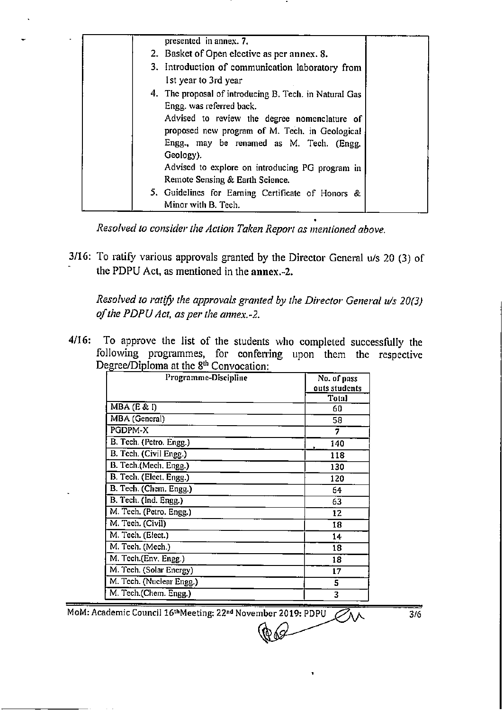| presented in annex. 7.                                                                     |  |
|--------------------------------------------------------------------------------------------|--|
| 2. Basket of Open elective as per annex. 8.                                                |  |
| 3. Introduction of communication laboratory from                                           |  |
| 1st year to 3rd year                                                                       |  |
| 4. The proposal of introducing B. Tech. in Natural Gas<br>Engg. was referred back.         |  |
| Advised to review the degree nomenclature of                                               |  |
| proposed new program of M. Tech. in Geological<br>Engg., may be renamed as M. Tech. (Engg. |  |
| Geology).                                                                                  |  |
| Advised to explore on introducing PG program in                                            |  |
| Remote Sensing & Earth Science.                                                            |  |
| 5. Guidelines for Earning Certificate of Honors &                                          |  |
| Minor with B. Tech.                                                                        |  |

Resolved to consider the Action Taken Report as mentioned above.

3/16: To ratify various approvals granted by the Director General u/s 20 (3) of the PDPU Act, as mentioned in the annex.-2.

Resolved to ratify the approvals granted by the Director General u/s 20(3) of the PDPU Act, as per the annex.-2.

4/16: To approve the list of the students who completed successfully the following programmes, for conferring upon them the respective<br>Degree/Diploma at the  $8<sup>th</sup>$  Convocation:

| Programme-Discipline     | No. of pass<br>outs students |
|--------------------------|------------------------------|
|                          | <b>Total</b>                 |
| MBA (E & I)              | 60                           |
| MBA (General)            | 58                           |
| PGDPM-X                  | 7                            |
| B. Tech. (Petro. Engg.)  | 140                          |
| B. Tech. (Civil Engg.)   | 118                          |
| B. Tech.(Mech. Engg.)    | 130                          |
| B. Tech. (Elect. Engg.)  | 120                          |
| B. Tech. (Chem. Engg.)   | 64                           |
| B. Tech. (Ind. Engg.)    | 63                           |
| M. Tech. (Petro. Engg.)  | 12                           |
| M. Tech. (Civil)         | 18                           |
| M. Tech. (Elect.)        | 14                           |
| M. Tech. (Mech.)         | 18                           |
| M. Tech.(Env. Engg.)     | 18                           |
| M. Tech. (Solar Energy)  | 17                           |
| M. Tech. (Nuclear Engg.) | 5                            |
| M. Tech.(Chem. Engg.)    | 3                            |

MoM: Academic Council 16<sup>th</sup>Meeting: 22<sup>nd</sup> November 2019: PDPU

 $3/6$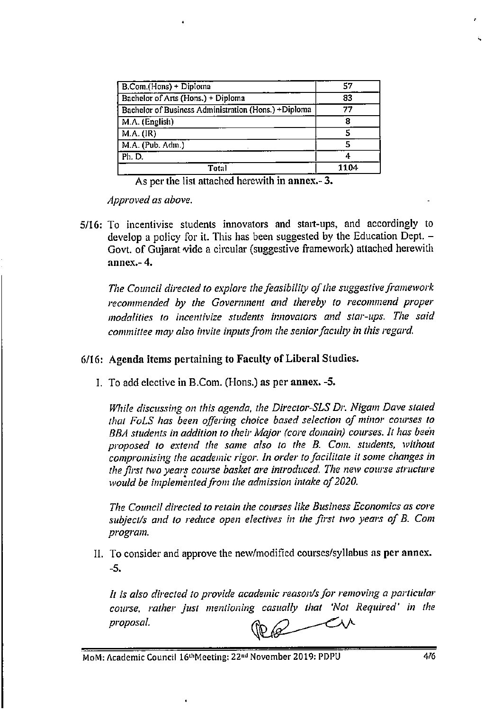| B.Com.(Hons) + Diploma                               | 57   |
|------------------------------------------------------|------|
| Bachelor of Arts (Hons.) + Diploma                   | 83   |
| Bachelor of Business Administration (Hons.) +Diploma | 77   |
| M.A. (English)                                       | я    |
| M.A. (IR)                                            | 5    |
| M.A. (Pub. Adm.)                                     | 5    |
| Ph. D.                                               |      |
| Total                                                | 1104 |

As per the list attached herewith in annex.-3.

Approved as above.

5/16: To incentivise students innovators and start-ups, and accordingly to develop a policy for it. This has been suggested by the Education Dept. -Govt. of Gujarat vide a circular (suggestive framework) attached herewith annex $-4$ .

The Council directed to explore the feasibility of the suggestive framework recommended by the Government and thereby to recommend proper modalities to incentivize students innovators and star-ups. The said committee may also invite inputs from the senior faculty in this regard.

# 6/16: Agenda items pertaining to Faculty of Liberal Studies.

I. To add elective in B.Com. (Hons.) as per annex. -5.

While discussing on this agenda, the Director-SLS Dr. Nigam Dave stated that FoLS has been offering choice based selection of minor courses to BBA students in addition to their Major (core domain) courses. It has been proposed to extend the same also to the B. Com. students, without compromising the academic rigor. In order to facilitate it some changes in the first two years course basket are introduced. The new course structure would be implemented from the admission intake of 2020.

The Council directed to retain the courses like Business Economics as core subject/s and to reduce open electives in the first two years of B. Com program.

II. To consider and approve the new/modified courses/syllabus as per annex.  $-5.$ 

It is also directed to provide academic reason/s for removing a particular course, rather just mentioning casually that 'Not Required' in the proposal.

 $\infty$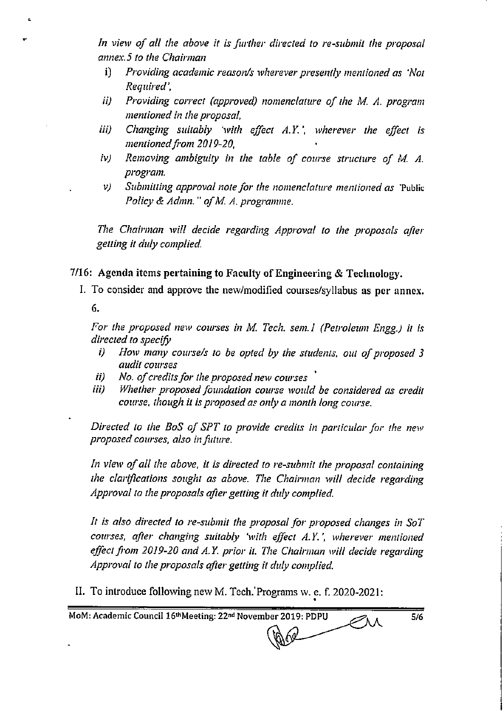In view of all the above it is further directed to re-submit the proposal annex.5 to the Chairman

- Providing academic reason/s wherever presently mentioned as 'Not  $i$ Required'.
- Providing correct (approved) nomenclature of the M. A. program ii) mentioned in the proposal,
- Changing suitably 'with effect A.Y.', wherever the effect is iii) mentioned from 2019-20.
- Removing ambiguity in the table of course structure of M. A. iv) program.
- Submitting approval note for the nomenclature mentioned as 'Public  $\nu$ Policy & Admn." of M. A. programme.

The Chairman will decide regarding Approval to the proposals after getting it duly complied.

7/16: Agenda items pertaining to Faculty of Engineering & Technology.

I. To consider and approve the new/modified courses/syllabus as per annex.

6.

For the proposed new courses in M. Tech. sem.1 (Petroleum Engg.) it is directed to specify

- How many course/s to be opted by the students, out of proposed 3 i) audit courses
- No. of credits for the proposed new courses ii)
- Whether proposed foundation course would be considered as credit iii) course, though it is proposed as only a month long course.

Directed to the BoS of SPT to provide credits in particular for the new proposed courses, also in future.

In view of all the above, it is directed to re-submit the proposal containing the clarifications sought as above. The Chairman will decide regarding Approval to the proposals after getting it duly complied.

It is also directed to re-submit the proposal for proposed changes in SoT courses, after changing suitably 'with effect A.Y.', wherever mentioned effect from 2019-20 and A.Y. prior it. The Chairman will decide regarding Approval to the proposals after getting it duly complied.

II. To introduce following new M. Tech. Programs w. e. f. 2020-2021:

MoM: Academic Council 16thMeeting: 22nd November 2019: PDPU

 $5/6$ 

€Ж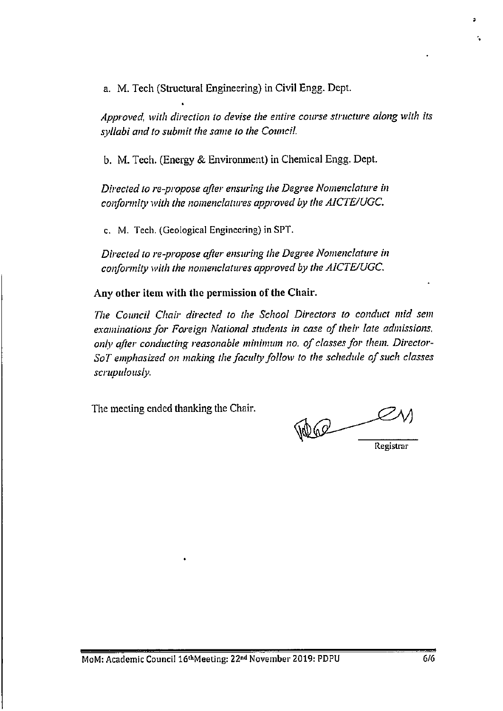a. M. Tech (Structural Engineering) in Civil Engg. Dept.

Approved, with direction to devise the entire course structure along with its syllabi and to submit the same to the Council.

b. M. Tech. (Energy & Environment) in Chemical Engg. Dept.

Directed to re-propose after ensuring the Degree Nomenclature in conformity with the nomenclatures approved by the AICTE/UGC.

c. M. Tech. (Geological Engineering) in SPT.

Directed to re-propose after ensuring the Degree Nomenclature in conformity with the nomenclatures approved by the AICTE/UGC.

Any other item with the permission of the Chair.

The Council Chair directed to the School Directors to conduct mid sem examinations for Foreign National students in case of their late admissions, only after conducting reasonable minimum no. of classes for them. Director-SoT emphasized on making the faculty follow to the schedule of such classes scrupulously.

The meeting ended thanking the Chair.

Registrar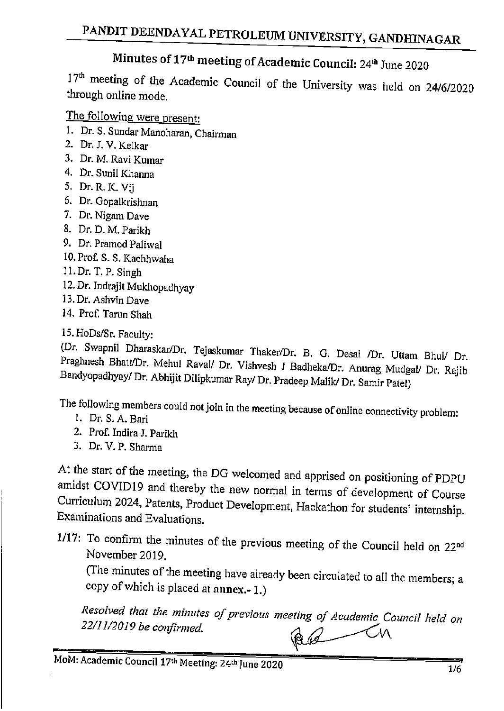# Minutes of 17<sup>th</sup> meeting of Academic Council: 24<sup>th</sup> June 2020

17th meeting of the Academic Council of the University was held on 24/6/2020 through online mode.

The following were present:

- 1. Dr. S. Sundar Manoharan, Chairman
- 2. Dr. J. V. Kelkar
- 3. Dr. M. Ravi Kumar
- 4. Dr. Sunil Khanna
- 5. Dr. R. K. Vij
- 6. Dr. Gopalkrishnan
- 7. Dr. Nigam Dave
- 8. Dr. D. M. Parikh
- 9. Dr. Pramod Paliwal
- 10. Prof. S. S. Kachhwaha
- 11. Dr. T. P. Singh
- 12. Dr. Indrajit Mukhopadhyay
- 13. Dr. Ashvin Dave
- 14. Prof. Tarun Shah

15. HoDs/Sr. Faculty:

(Dr. Swapnil Dharaskar/Dr. Tejaskumar Thaker/Dr. B. G. Desai /Dr. Uttam Bhui/ Dr. Praghnesh Bhatt/Dr. Mehul Raval/ Dr. Vishvesh J Badheka/Dr. Anurag Mudgal/ Dr. Rajib Bandyopadhyay/ Dr. Abhijit Dilipkumar Ray/ Dr. Pradeep Malik/ Dr. Samir Patel)

The following members could not join in the meeting because of online connectivity problem:

- 1. Dr. S. A. Bari
- 2. Prof. Indira J. Parikh
- 3. Dr. V. P. Sharma

At the start of the meeting, the DG welcomed and apprised on positioning of PDPU amidst COVID19 and thereby the new normal in terms of development of Course Curriculum 2024, Patents, Product Development, Hackathon for students' internship. Examinations and Evaluations.

1/17: To confirm the minutes of the previous meeting of the Council held on 22<sup>nd</sup> November 2019.

(The minutes of the meeting have already been circulated to all the members; a copy of which is placed at annex.- 1.)

Resolved that the minutes of previous meeting of Academic Council held on 22/11/2019 be confirmed. Red -Ch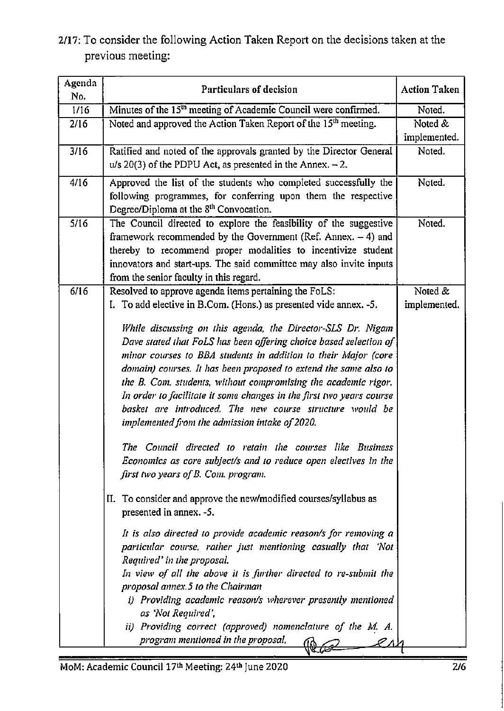# 2/17: To consider the following Action Taken Report on the decisions taken at the previous meeting:

| Agenda<br>No. | <b>Particulars of decision</b>                                                                                                                                                                                                                                                                                                                                                                                                                                                                                                                                                                                                                                | <b>Action Taken</b> |
|---------------|---------------------------------------------------------------------------------------------------------------------------------------------------------------------------------------------------------------------------------------------------------------------------------------------------------------------------------------------------------------------------------------------------------------------------------------------------------------------------------------------------------------------------------------------------------------------------------------------------------------------------------------------------------------|---------------------|
| 1/16          | Minutes of the 15 <sup>th</sup> meeting of Academic Council were confirmed.                                                                                                                                                                                                                                                                                                                                                                                                                                                                                                                                                                                   | Noted.              |
| 2/16          | Noted and approved the Action Taken Report of the 15 <sup>th</sup> meeting.                                                                                                                                                                                                                                                                                                                                                                                                                                                                                                                                                                                   | Noted &             |
|               |                                                                                                                                                                                                                                                                                                                                                                                                                                                                                                                                                                                                                                                               | implemented.        |
| 3/16          | Ratified and noted of the approvals granted by the Director General<br>$u/s$ 20(3) of the PDPU Act, as presented in the Annex. $-2$ .                                                                                                                                                                                                                                                                                                                                                                                                                                                                                                                         | Noted.              |
| 4/16          | Approved the list of the students who completed successfully the<br>following programmes, for conferring upon them the respective<br>Degree/Diploma at the 8 <sup>th</sup> Convocation.                                                                                                                                                                                                                                                                                                                                                                                                                                                                       | Noted.              |
| 5/16          | The Council directed to explore the feasibility of the suggestive<br>framework recommended by the Government (Ref. Annex. $-4$ ) and<br>thereby to recommend proper modalities to incentivize student<br>innovators and start-ups. The said committee may also invite inputs<br>from the senior faculty in this regard.                                                                                                                                                                                                                                                                                                                                       | Noted.              |
| 6/16          | Resolved to approve agenda items pertaining the FoLS:                                                                                                                                                                                                                                                                                                                                                                                                                                                                                                                                                                                                         | Noted &             |
|               | I. To add elective in B.Com. (Hons.) as presented vide annex. -5.                                                                                                                                                                                                                                                                                                                                                                                                                                                                                                                                                                                             | implemented.        |
|               | While discussing on this agenda, the Director-SLS Dr. Nigam<br>Dave stated that FoLS has been offering choice based selection of<br>minor courses to BBA students in addition to their Major (core<br>domain) courses. It has been proposed to extend the same also to<br>the B. Com. students, without compromising the academic rigor.<br>In order to facilitate it some changes in the first two years course<br>basket are introduced. The new course structure would be<br>implemented from the admission intake of 2020.<br>The Council directed to retain the courses like Business<br>Economics as core subject/s and to reduce open electives in the |                     |
|               | first two years of B. Com. program.<br>II. To consider and approve the new/modified courses/syllabus as<br>presented in annex. -5.<br>It is also directed to provide academic reason/s for removing a<br>particular course, rather just mentioning casually that 'Not<br>Required' in the proposal.<br>In view of all the above it is further directed to re-submit the<br>proposal annex.5 to the Chairman<br>i) Providing academic reason/s wherever presently mentioned<br>as 'Not Required',<br>ii) Providing correct (approved) nomenclature of the M. A.<br>program mentioned in the proposal,                                                          |                     |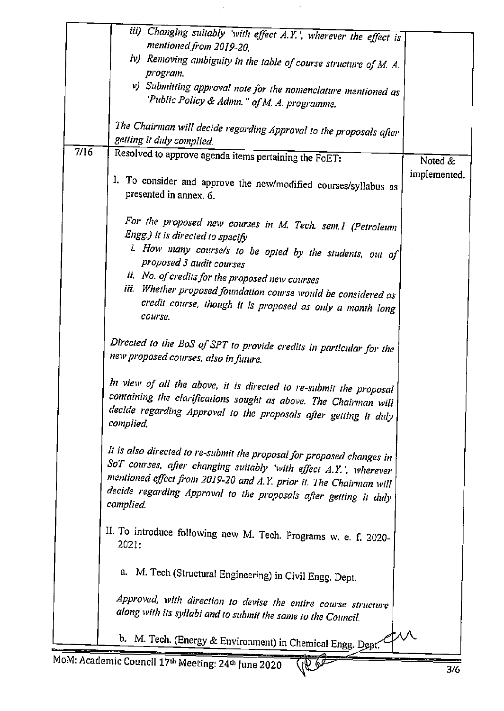|      | iii) Changing suitably 'with effect A.Y.', wherever the effect is<br>mentioned from 2019-20,                                               |              |
|------|--------------------------------------------------------------------------------------------------------------------------------------------|--------------|
|      | iv) Removing ambiguity in the table of course structure of M. A.                                                                           |              |
|      | program.                                                                                                                                   |              |
|      | v) Submitting approval note for the nomenclature mentioned as                                                                              |              |
|      | 'Public Policy & Admn." of M. A. programme.                                                                                                |              |
|      |                                                                                                                                            |              |
|      | The Chairman will decide regarding Approval to the proposals after                                                                         |              |
| 7/16 | getting it duly complied.                                                                                                                  |              |
|      | Resolved to approve agenda items pertaining the FoET:                                                                                      | Noted &      |
|      | I. To consider and approve the new/modified courses/syllabus as                                                                            | implemented. |
|      | presented in annex. 6.                                                                                                                     |              |
|      |                                                                                                                                            |              |
|      | For the proposed new courses in M. Tech. sem.1 (Petroleum                                                                                  |              |
|      | Engg.) it is directed to specify                                                                                                           |              |
|      | i. How many course/s to be opted by the students, out of                                                                                   |              |
|      | proposed 3 audit courses                                                                                                                   |              |
|      | ii. No. of credits for the proposed new courses                                                                                            |              |
|      | iii. Whether proposed foundation course would be considered as                                                                             |              |
|      | credit course, though it is proposed as only a month long<br>course.                                                                       |              |
|      |                                                                                                                                            |              |
|      | Directed to the BoS of SPT to provide credits in particular for the                                                                        |              |
|      | new proposed courses, also in future.                                                                                                      |              |
|      |                                                                                                                                            |              |
|      | In view of all the above, it is directed to re-submit the proposal                                                                         |              |
|      | containing the clarifications sought as above. The Chairman will                                                                           |              |
|      | decide regarding Approval to the proposals after getting it duly<br>complied.                                                              |              |
|      |                                                                                                                                            |              |
|      |                                                                                                                                            |              |
|      | It is also directed to re-submit the proposal for proposed changes in<br>SoT courses, after changing suitably 'with effect A.Y.', wherever |              |
|      | mentioned effect from 2019-20 and A.Y. prior it. The Chairman will                                                                         |              |
|      | decide regarding Approval to the proposals after getting it duly                                                                           |              |
|      | complied.                                                                                                                                  |              |
|      |                                                                                                                                            |              |
|      | II. To introduce following new M. Tech. Programs w. e. f. 2020-                                                                            |              |
|      | 2021:                                                                                                                                      |              |
|      |                                                                                                                                            |              |
|      | a. M. Tech (Structural Engineering) in Civil Engg. Dept.                                                                                   |              |
|      | Approved, with direction to devise the entire course structure                                                                             |              |
|      | along with its syllabi and to submit the same to the Council.                                                                              |              |
|      |                                                                                                                                            |              |
|      | b. M. Tech. (Energy & Environment) in Chemical Engg. Dept.                                                                                 |              |
|      | loM: Academic Council 17th Meeting: 24th June 2020                                                                                         |              |
|      |                                                                                                                                            | 3/6          |

 $\mathbb{R}^{|\mathcal{S}|}$ 

 $\downarrow$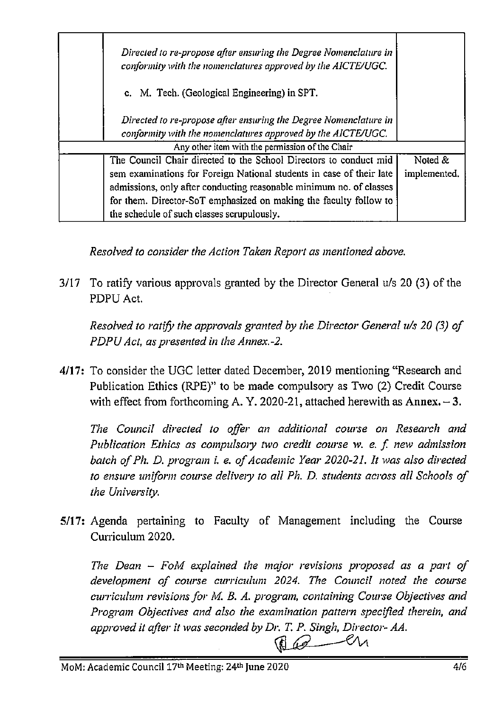| Directed to re-propose after ensuring the Degree Nomenclature in<br>conformity with the nomenclatures approved by the AICTE/UGC. |              |
|----------------------------------------------------------------------------------------------------------------------------------|--------------|
| c. M. Tech. (Geological Engineering) in SPT.                                                                                     |              |
| Directed to re-propose after ensuring the Degree Nomenclature in                                                                 |              |
| conformity with the nomenclatures approved by the AICTE/UGC.                                                                     |              |
| Any other item with the permission of the Chair                                                                                  |              |
| The Council Chair directed to the School Directors to conduct mid                                                                | Noted &      |
| sem examinations for Foreign National students in case of their late                                                             | implemented. |
| admissions, only after conducting reasonable minimum no. of classes                                                              |              |
| for them. Director-SoT emphasized on making the faculty follow to                                                                |              |
| the schedule of such classes scrupulously.                                                                                       |              |

Resolved to consider the Action Taken Report as mentioned above.

3/17 To ratify various approvals granted by the Director General u/s 20 (3) of the PDPU Act.

Resolved to ratify the approvals granted by the Director General u/s 20 (3) of PDPU Act, as presented in the Annex.-2.

4/17: To consider the UGC letter dated December, 2019 mentioning "Research and Publication Ethics (RPE)" to be made compulsory as Two (2) Credit Course with effect from forthcoming A. Y. 2020-21, attached herewith as Annex.  $-3$ .

The Council directed to offer an additional course on Research and Publication Ethics as compulsory two credit course w. e. f. new admission batch of Ph. D. program i. e. of Academic Year 2020-21. It was also directed to ensure uniform course delivery to all Ph. D. students across all Schools of the University.

5/17: Agenda pertaining to Faculty of Management including the Course Curriculum 2020.

The Dean  $-$  FoM explained the major revisions proposed as a part of development of course curriculum 2024. The Council noted the course curriculum revisions for M. B. A. program, containing Course Objectives and Program Objectives and also the examination pattern specified therein, and approved it after it was seconded by Dr. T. P. Singh, Director- AA.

 $Q$   $Q$   $M$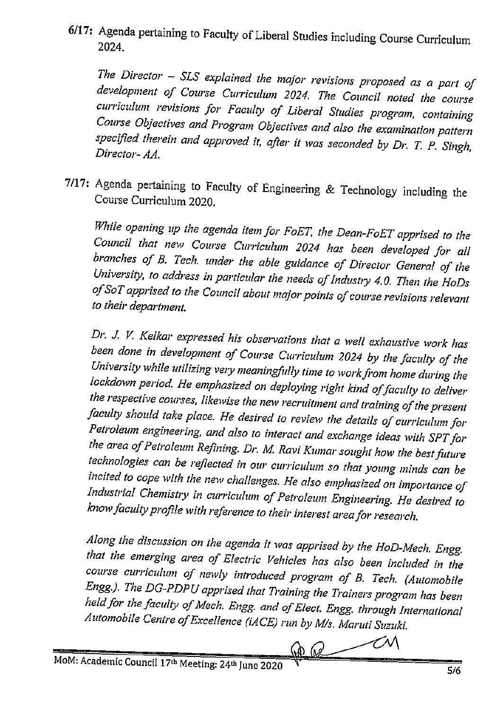6/17: Agenda pertaining to Faculty of Liberal Studies including Course Curriculum 2024.

The Director - SLS explained the major revisions proposed as a part of development of Course Curriculum 2024. The Council noted the course curriculum revisions for Faculty of Liberal Studies program, containing Course Objectives and Program Objectives and also the examination pattern specified therein and approved it, after it was seconded by Dr. T. P. Singh, Director- AA.

7/17: Agenda pertaining to Faculty of Engineering & Technology including the Course Curriculum 2020.

While opening up the agenda item for FoET, the Dean-FoET apprised to the Council that new Course Curriculum 2024 has been developed for all branches of B. Tech. under the able guidance of Director General of the University, to address in particular the needs of Industry 4.0. Then the HoDs of SoT apprised to the Council about major points of course revisions relevant to their department.

Dr. J. V. Kelkar expressed his observations that a well exhaustive work has been done in development of Course Curriculum 2024 by the faculty of the University while utilizing very meaningfully time to work from home during the lockdown period. He emphasized on deploying right kind of faculty to deliver the respective courses, likewise the new recruitment and training of the present faculty should take place. He desired to review the details of curriculum for Petroleum engineering, and also to interact and exchange ideas with SPT for the area of Petroleum Refining. Dr. M. Ravi Kumar sought how the best future technologies can be reflected in our curriculum so that young minds can be incited to cope with the new challenges. He also emphasized on importance of Industrial Chemistry in curriculum of Petroleum Engineering. He desired to know faculty profile with reference to their interest area for research.

Along the discussion on the agenda it was apprised by the HoD-Mech. Engg. that the emerging area of Electric Vehicles has also been included in the course curriculum of newly introduced program of B. Tech. (Automobile Engg.). The DG-PDPU apprised that Training the Trainers program has been held for the faculty of Mech. Engg. and of Elect. Engg. through International Automobile Centre of Excellence (iACE) run by M/s. Maruti Suzuki.

 $\boldsymbol{\mathscr{M}}$ <u>rang</u>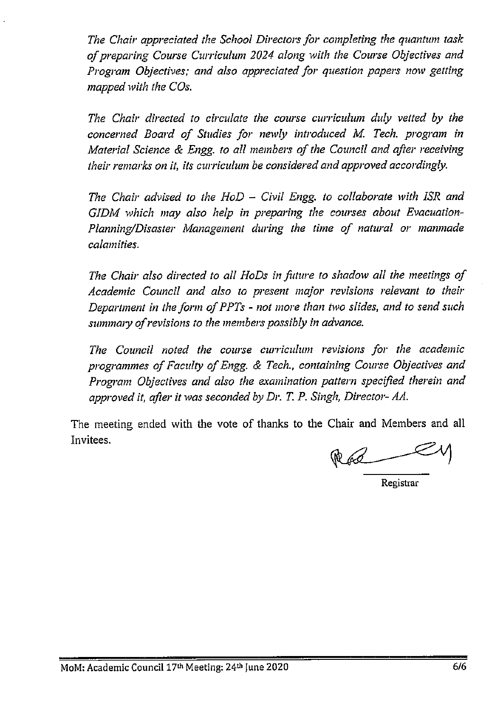The Chair appreciated the School Directors for completing the quantum task of preparing Course Curriculum 2024 along with the Course Objectives and Program Objectives; and also appreciated for question papers now getting mapped with the COs.

The Chair directed to circulate the course curriculum duly vetted by the concerned Board of Studies for newly introduced M. Tech. program in Material Science & Engg. to all members of the Council and after receiving their remarks on it, its curriculum be considered and approved accordingly.

The Chair advised to the  $H \circ D -$  Civil Engg. to collaborate with ISR and GIDM which may also help in preparing the courses about Evacuation-Planning/Disaster Management during the time of natural or manmade calamities.

The Chair also directed to all HoDs in future to shadow all the meetings of Academic Council and also to present major revisions relevant to their Department in the form of PPTs - not more than two slides, and to send such summary of revisions to the members possibly in advance.

The Council noted the course curriculum revisions for the academic programmes of Faculty of Engg. & Tech., containing Course Objectives and Program Objectives and also the examination pattern specified therein and approved it, after it was seconded by Dr. T. P. Singh, Director- AA.

The meeting ended with the vote of thanks to the Chair and Members and all Invitees.

Registrar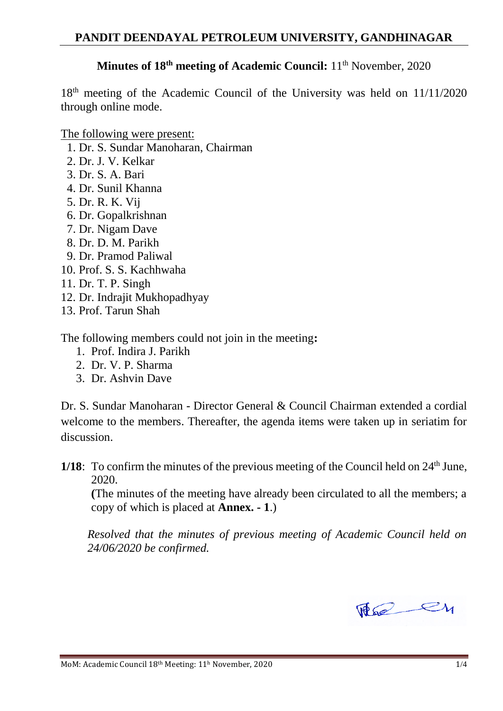# **Minutes of 18<sup>th</sup> meeting of Academic Council:** 11<sup>th</sup> November, 2020

18<sup>th</sup> meeting of the Academic Council of the University was held on 11/11/2020 through online mode.

The following were present:

- 1. Dr. S. Sundar Manoharan, Chairman
- 2. Dr. J. V. Kelkar
- 3. Dr. S. A. Bari
- 4. Dr. Sunil Khanna
- 5. Dr. R. K. Vij
- 6. Dr. Gopalkrishnan
- 7. Dr. Nigam Dave
- 8. Dr. D. M. Parikh
- 9. Dr. Pramod Paliwal
- 10. Prof. S. S. Kachhwaha
- 11. Dr. T. P. Singh
- 12. Dr. Indrajit Mukhopadhyay
- 13. Prof. Tarun Shah

The following members could not join in the meeting**:**

- 1. Prof. Indira J. Parikh
- 2. Dr. V. P. Sharma
- 3. Dr. Ashvin Dave

Dr. S. Sundar Manoharan - Director General & Council Chairman extended a cordial welcome to the members. Thereafter, the agenda items were taken up in seriatim for discussion.

1/18: To confirm the minutes of the previous meeting of the Council held on  $24<sup>th</sup>$  June, 2020.

**(**The minutes of the meeting have already been circulated to all the members; a copy of which is placed at **Annex. - 1**.)

*Resolved that the minutes of previous meeting of Academic Council held on 24/06/2020 be confirmed.*

The ey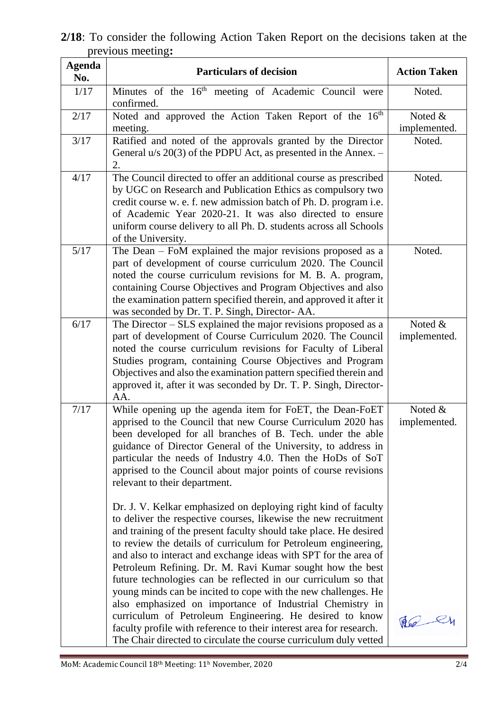| <b>Agenda</b><br>No. | <b>Particulars of decision</b>                                                                                                                                                                                                                                                                                                                                                                                                                                                                                                                                                                                                                                                                                                                                          | <b>Action Taken</b>     |
|----------------------|-------------------------------------------------------------------------------------------------------------------------------------------------------------------------------------------------------------------------------------------------------------------------------------------------------------------------------------------------------------------------------------------------------------------------------------------------------------------------------------------------------------------------------------------------------------------------------------------------------------------------------------------------------------------------------------------------------------------------------------------------------------------------|-------------------------|
| 1/17                 | Minutes of the 16 <sup>th</sup> meeting of Academic Council were<br>confirmed.                                                                                                                                                                                                                                                                                                                                                                                                                                                                                                                                                                                                                                                                                          | Noted.                  |
| 2/17                 | Noted and approved the Action Taken Report of the 16 <sup>th</sup><br>meeting.                                                                                                                                                                                                                                                                                                                                                                                                                                                                                                                                                                                                                                                                                          | Noted &<br>implemented. |
| 3/17                 | Ratified and noted of the approvals granted by the Director<br>General $u/s$ 20(3) of the PDPU Act, as presented in the Annex. $-$<br>2.                                                                                                                                                                                                                                                                                                                                                                                                                                                                                                                                                                                                                                | Noted.                  |
| 4/17                 | The Council directed to offer an additional course as prescribed<br>by UGC on Research and Publication Ethics as compulsory two<br>credit course w. e. f. new admission batch of Ph. D. program i.e.<br>of Academic Year 2020-21. It was also directed to ensure<br>uniform course delivery to all Ph. D. students across all Schools<br>of the University.                                                                                                                                                                                                                                                                                                                                                                                                             | Noted.                  |
| $5/17$               | The Dean $-$ FoM explained the major revisions proposed as a<br>part of development of course curriculum 2020. The Council<br>noted the course curriculum revisions for M. B. A. program,<br>containing Course Objectives and Program Objectives and also<br>the examination pattern specified therein, and approved it after it<br>was seconded by Dr. T. P. Singh, Director-AA.                                                                                                                                                                                                                                                                                                                                                                                       | Noted.                  |
| 6/17                 | The Director $-$ SLS explained the major revisions proposed as a<br>part of development of Course Curriculum 2020. The Council<br>noted the course curriculum revisions for Faculty of Liberal<br>Studies program, containing Course Objectives and Program<br>Objectives and also the examination pattern specified therein and<br>approved it, after it was seconded by Dr. T. P. Singh, Director-<br>AA.                                                                                                                                                                                                                                                                                                                                                             | Noted &<br>implemented. |
| 7/17                 | While opening up the agenda item for FoET, the Dean-FoET<br>apprised to the Council that new Course Curriculum 2020 has<br>been developed for all branches of B. Tech. under the able<br>guidance of Director General of the University, to address in<br>particular the needs of Industry 4.0. Then the HoDs of SoT<br>apprised to the Council about major points of course revisions<br>relevant to their department.<br>Dr. J. V. Kelkar emphasized on deploying right kind of faculty<br>to deliver the respective courses, likewise the new recruitment<br>and training of the present faculty should take place. He desired<br>to review the details of curriculum for Petroleum engineering,<br>and also to interact and exchange ideas with SPT for the area of | Noted &<br>implemented. |
|                      | Petroleum Refining. Dr. M. Ravi Kumar sought how the best<br>future technologies can be reflected in our curriculum so that<br>young minds can be incited to cope with the new challenges. He<br>also emphasized on importance of Industrial Chemistry in<br>curriculum of Petroleum Engineering. He desired to know<br>faculty profile with reference to their interest area for research.<br>The Chair directed to circulate the course curriculum duly vetted                                                                                                                                                                                                                                                                                                        | $W_0$                   |

**2/18**: To consider the following Action Taken Report on the decisions taken at the previous meeting**:**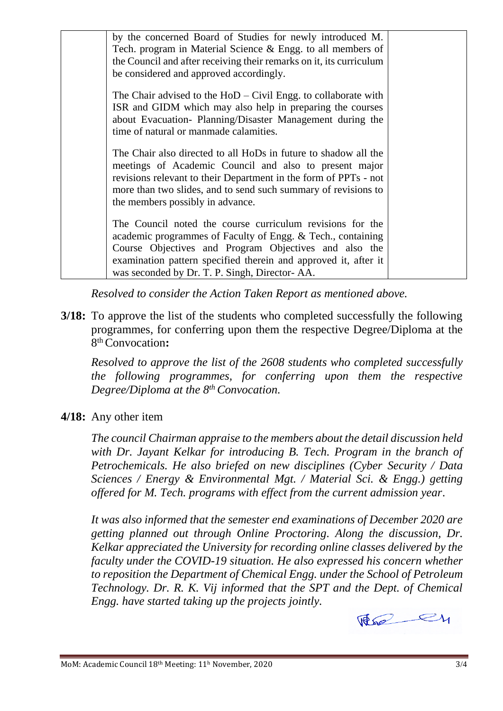| by the concerned Board of Studies for newly introduced M.<br>Tech. program in Material Science & Engg. to all members of<br>the Council and after receiving their remarks on it, its curriculum<br>be considered and approved accordingly.                                                            |  |
|-------------------------------------------------------------------------------------------------------------------------------------------------------------------------------------------------------------------------------------------------------------------------------------------------------|--|
| The Chair advised to the $HoD - Civil$ Engg. to collaborate with<br>ISR and GIDM which may also help in preparing the courses<br>about Evacuation- Planning/Disaster Management during the<br>time of natural or manmade calamities.                                                                  |  |
| The Chair also directed to all HoDs in future to shadow all the<br>meetings of Academic Council and also to present major<br>revisions relevant to their Department in the form of PPTs - not<br>more than two slides, and to send such summary of revisions to<br>the members possibly in advance.   |  |
| The Council noted the course curriculum revisions for the<br>academic programmes of Faculty of Engg. & Tech., containing<br>Course Objectives and Program Objectives and also the<br>examination pattern specified therein and approved it, after it<br>was seconded by Dr. T. P. Singh, Director-AA. |  |

*Resolved to consider the Action Taken Report as mentioned above.*

**3/18:** To approve the list of the students who completed successfully the following programmes, for conferring upon them the respective Degree/Diploma at the 8 th Convocation**:**

*Resolved to approve the list of the 2608 students who completed successfully the following programmes, for conferring upon them the respective Degree/Diploma at the 8th Convocation.*

# **4/18:** Any other item

*The council Chairman appraise to the members about the detail discussion held with Dr. Jayant Kelkar for introducing B. Tech. Program in the branch of Petrochemicals. He also briefed on new disciplines (Cyber Security / Data Sciences / Energy & Environmental Mgt. / Material Sci. & Engg.) getting offered for M. Tech. programs with effect from the current admission year.*

*It was also informed that the semester end examinations of December 2020 are getting planned out through Online Proctoring. Along the discussion, Dr. Kelkar appreciated the University for recording online classes delivered by the faculty under the COVID-19 situation. He also expressed his concern whether to reposition the Department of Chemical Engg. under the School of Petroleum Technology. Dr. R. K. Vij informed that the SPT and the Dept. of Chemical Engg. have started taking up the projects jointly.*